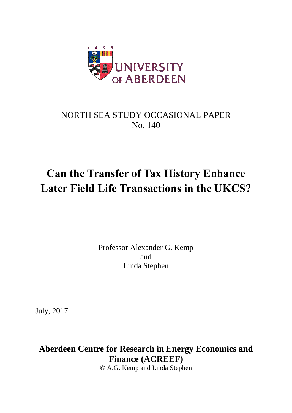

### NORTH SEA STUDY OCCASIONAL PAPER No. 140

# **Can the Transfer of Tax History Enhance Later Field Life Transactions in the UKCS?**

Professor Alexander G. Kemp and Linda Stephen

July, 2017

**Aberdeen Centre for Research in Energy Economics and Finance (ACREEF)**

© A.G. Kemp and Linda Stephen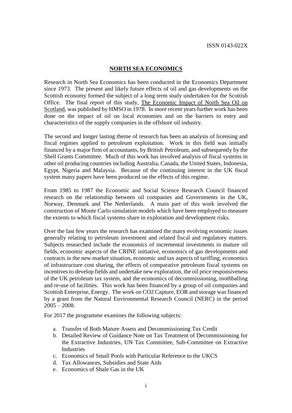#### **NORTH SEA ECONOMICS**

Research in North Sea Economics has been conducted in the Economics Department since 1973. The present and likely future effects of oil and gas developments on the Scottish economy formed the subject of a long term study undertaken for the Scottish Office. The final report of this study, The Economic Impact of North Sea Oil on Scotland, was published by HMSO in 1978. In more recent years further work has been done on the impact of oil on local economies and on the barriers to entry and characteristics of the supply companies in the offshore oil industry.

The second and longer lasting theme of research has been an analysis of licensing and fiscal regimes applied to petroleum exploitation. Work in this field was initially financed by a major firm of accountants, by British Petroleum, and subsequently by the Shell Grants Committee. Much of this work has involved analysis of fiscal systems in other oil producing countries including Australia, Canada, the United States, Indonesia, Egypt, Nigeria and Malaysia. Because of the continuing interest in the UK fiscal system many papers have been produced on the effects of this regime.

From 1985 to 1987 the Economic and Social Science Research Council financed research on the relationship between oil companies and Governments in the UK, Norway, Denmark and The Netherlands. A main part of this work involved the construction of Monte Carlo simulation models which have been employed to measure the extents to which fiscal systems share in exploration and development risks.

Over the last few years the research has examined the many evolving economic issues generally relating to petroleum investment and related fiscal and regulatory matters. Subjects researched include the economics of incremental investments in mature oil fields, economic aspects of the CRINE initiative, economics of gas developments and contracts in the new market situation, economic and tax aspects of tariffing, economics of infrastructure cost sharing, the effects of comparative petroleum fiscal systems on incentives to develop fields and undertake new exploration, the oil price responsiveness of the UK petroleum tax system, and the economics of decommissioning, mothballing and re-use of facilities. This work has been financed by a group of oil companies and Scottish Enterprise, Energy. The work on CO2 Capture, EOR and storage was financed by a grant from the Natural Environmental Research Council (NERC) in the period  $2005 - 2008$ .

For 2017 the programme examines the following subjects:

- a. Transfer of Both Mature Assets and Decommissioning Tax Credit
- b. Detailed Review of Guidance Note on Tax Treatment of Decommissioning for the Extractive Industries, UN Tax Committee, Sub-Committee on Extractive Industries
- c. Economics of Small Pools with Particular Reference to the UKCS
- d. Tax Allowances, Subsidies and State Aids
- e. Economics of Shale Gas in the UK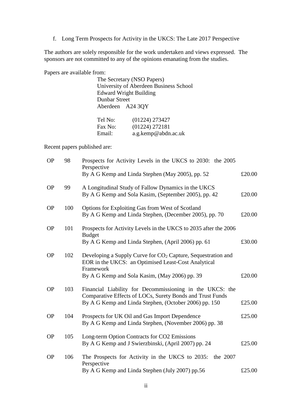f. Long Term Prospects for Activity in the UKCS: The Late 2017 Perspective

The authors are solely responsible for the work undertaken and views expressed. The sponsors are not committed to any of the opinions emanating from the studies.

Papers are available from:

|                  | The Secretary (NSO Papers)             |
|------------------|----------------------------------------|
|                  | University of Aberdeen Business School |
|                  | <b>Edward Wright Building</b>          |
| Dunbar Street    |                                        |
| Aberdeen A24 3QY |                                        |
|                  |                                        |
| Tel No:          | (01224) 273427                         |
| Fax No:          | (01224) 272181                         |

Email: a.g.kemp@abdn.ac.uk

Recent papers published are:

| <b>OP</b> | 98  | Prospects for Activity Levels in the UKCS to 2030: the 2005<br>Perspective                                                                                                                    |        |
|-----------|-----|-----------------------------------------------------------------------------------------------------------------------------------------------------------------------------------------------|--------|
|           |     | By A G Kemp and Linda Stephen (May 2005), pp. 52                                                                                                                                              | £20.00 |
| <b>OP</b> | 99  | A Longitudinal Study of Fallow Dynamics in the UKCS<br>By A G Kemp and Sola Kasim, (September 2005), pp. 42                                                                                   | £20.00 |
| <b>OP</b> | 100 | Options for Exploiting Gas from West of Scotland<br>By A G Kemp and Linda Stephen, (December 2005), pp. 70                                                                                    | £20.00 |
| <b>OP</b> | 101 | Prospects for Activity Levels in the UKCS to 2035 after the 2006<br><b>Budget</b><br>By A G Kemp and Linda Stephen, (April 2006) pp. 61                                                       | £30.00 |
| <b>OP</b> | 102 | Developing a Supply Curve for CO <sub>2</sub> Capture, Sequestration and<br>EOR in the UKCS: an Optimised Least-Cost Analytical<br>Framework<br>By A G Kemp and Sola Kasim, (May 2006) pp. 39 | £20.00 |
| <b>OP</b> | 103 | Financial Liability for Decommissioning in the UKCS: the<br>Comparative Effects of LOCs, Surety Bonds and Trust Funds<br>By A G Kemp and Linda Stephen, (October 2006) pp. 150                | £25.00 |
| <b>OP</b> | 104 | Prospects for UK Oil and Gas Import Dependence<br>By A G Kemp and Linda Stephen, (November 2006) pp. 38                                                                                       | £25.00 |
| <b>OP</b> | 105 | Long-term Option Contracts for CO2 Emissions<br>By A G Kemp and J Swierzbinski, (April 2007) pp. 24                                                                                           | £25.00 |
| <b>OP</b> | 106 | The Prospects for Activity in the UKCS to 2035:<br>the 2007<br>Perspective<br>By A G Kemp and Linda Stephen (July 2007) pp.56                                                                 | £25.00 |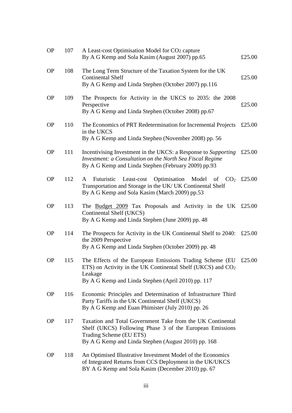| <b>OP</b> | 107 | A Least-cost Optimisation Model for CO2 capture<br>By A G Kemp and Sola Kasim (August 2007) pp.65                                                                                                        | £25.00 |
|-----------|-----|----------------------------------------------------------------------------------------------------------------------------------------------------------------------------------------------------------|--------|
| <b>OP</b> | 108 | The Long Term Structure of the Taxation System for the UK<br><b>Continental Shelf</b><br>By A G Kemp and Linda Stephen (October 2007) pp.116                                                             | £25.00 |
| <b>OP</b> | 109 | The Prospects for Activity in the UKCS to 2035: the 2008<br>Perspective<br>By A G Kemp and Linda Stephen (October 2008) pp.67                                                                            | £25.00 |
| <b>OP</b> | 110 | The Economics of PRT Redetermination for Incremental Projects<br>in the UKCS<br>By A G Kemp and Linda Stephen (November 2008) pp. 56                                                                     | £25.00 |
| <b>OP</b> | 111 | Incentivising Investment in the UKCS: a Response to Supporting<br>Investment: a Consultation on the North Sea Fiscal Regime<br>By A G Kemp and Linda Stephen (February 2009) pp.93                       | £25.00 |
| <b>OP</b> | 112 | Optimisation Model of $CO2 \text{£}25.00$<br>Futuristic<br>Least-cost<br>A<br>Transportation and Storage in the UK/ UK Continental Shelf<br>By A G Kemp and Sola Kasim (March 2009) pp.53                |        |
| <b>OP</b> | 113 | The Budget 2009 Tax Proposals and Activity in the UK £25.00<br>Continental Shelf (UKCS)<br>By A G Kemp and Linda Stephen (June 2009) pp. 48                                                              |        |
| <b>OP</b> | 114 | The Prospects for Activity in the UK Continental Shelf to 2040:<br>the 2009 Perspective<br>By A G Kemp and Linda Stephen (October 2009) pp. 48                                                           | £25.00 |
| <b>OP</b> | 115 | The Effects of the European Emissions Trading Scheme (EU<br>ETS) on Activity in the UK Continental Shelf (UKCS) and $CO2$<br>Leakage<br>By A G Kemp and Linda Stephen (April 2010) pp. 117               | £25.00 |
| <b>OP</b> | 116 | Economic Principles and Determination of Infrastructure Third<br>Party Tariffs in the UK Continental Shelf (UKCS)<br>By A G Kemp and Euan Phimister (July 2010) pp. 26                                   |        |
| <b>OP</b> | 117 | Taxation and Total Government Take from the UK Continental<br>Shelf (UKCS) Following Phase 3 of the European Emissions<br>Trading Scheme (EU ETS)<br>By A G Kemp and Linda Stephen (August 2010) pp. 168 |        |
| <b>OP</b> | 118 | An Optimised Illustrative Investment Model of the Economics<br>of Integrated Returns from CCS Deployment in the UK/UKCS<br>BY A G Kemp and Sola Kasim (December 2010) pp. 67                             |        |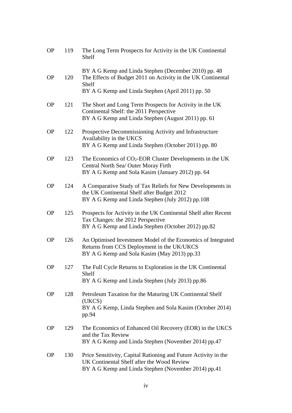| <b>OP</b> | 119 | The Long Term Prospects for Activity in the UK Continental<br>Shelf                                                                                                                |
|-----------|-----|------------------------------------------------------------------------------------------------------------------------------------------------------------------------------------|
| <b>OP</b> | 120 | BY A G Kemp and Linda Stephen (December 2010) pp. 48<br>The Effects of Budget 2011 on Activity in the UK Continental<br>Shelf<br>BY A G Kemp and Linda Stephen (April 2011) pp. 50 |
| <b>OP</b> | 121 | The Short and Long Term Prospects for Activity in the UK<br>Continental Shelf: the 2011 Perspective<br>BY A G Kemp and Linda Stephen (August 2011) pp. 61                          |
| <b>OP</b> | 122 | Prospective Decommissioning Activity and Infrastructure<br>Availability in the UKCS<br>BY A G Kemp and Linda Stephen (October 2011) pp. 80                                         |
| <b>OP</b> | 123 | The Economics of $CO2$ -EOR Cluster Developments in the UK<br>Central North Sea/ Outer Moray Firth<br>BY A G Kemp and Sola Kasim (January 2012) pp. 64                             |
| <b>OP</b> | 124 | A Comparative Study of Tax Reliefs for New Developments in<br>the UK Continental Shelf after Budget 2012<br>BY A G Kemp and Linda Stephen (July 2012) pp.108                       |
| <b>OP</b> | 125 | Prospects for Activity in the UK Continental Shelf after Recent<br>Tax Changes: the 2012 Perspective<br>BY A G Kemp and Linda Stephen (October 2012) pp.82                         |
| <b>OP</b> | 126 | An Optimised Investment Model of the Economics of Integrated<br>Returns from CCS Deployment in the UK/UKCS<br>BY A G Kemp and Sola Kasim (May 2013) pp.33                          |
| <b>OP</b> | 127 | The Full Cycle Returns to Exploration in the UK Continental<br>Shelf<br>BY A G Kemp and Linda Stephen (July 2013) pp.86                                                            |
| <b>OP</b> | 128 | Petroleum Taxation for the Maturing UK Continental Shelf<br>(UKCS)<br>BY A G Kemp, Linda Stephen and Sola Kasim (October 2014)<br>pp.94                                            |
| <b>OP</b> | 129 | The Economics of Enhanced Oil Recovery (EOR) in the UKCS<br>and the Tax Review<br>BY A G Kemp and Linda Stephen (November 2014) pp.47                                              |
| <b>OP</b> | 130 | Price Sensitivity, Capital Rationing and Future Activity in the<br>UK Continental Shelf after the Wood Review<br>BY A G Kemp and Linda Stephen (November 2014) pp.41               |
|           |     |                                                                                                                                                                                    |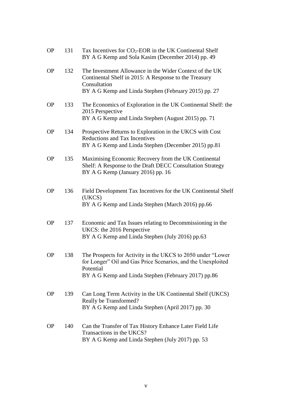| <b>OP</b> | 131 | Tax Incentives for $CO2$ -EOR in the UK Continental Shelf<br>BY A G Kemp and Sola Kasim (December 2014) pp. 49                                                                                   |
|-----------|-----|--------------------------------------------------------------------------------------------------------------------------------------------------------------------------------------------------|
| <b>OP</b> | 132 | The Investment Allowance in the Wider Context of the UK<br>Continental Shelf in 2015: A Response to the Treasury<br>Consultation                                                                 |
|           |     | BY A G Kemp and Linda Stephen (February 2015) pp. 27                                                                                                                                             |
| <b>OP</b> | 133 | The Economics of Exploration in the UK Continental Shelf: the<br>2015 Perspective<br>BY A G Kemp and Linda Stephen (August 2015) pp. 71                                                          |
| <b>OP</b> | 134 | Prospective Returns to Exploration in the UKCS with Cost                                                                                                                                         |
|           |     | <b>Reductions and Tax Incentives</b><br>BY A G Kemp and Linda Stephen (December 2015) pp.81                                                                                                      |
| <b>OP</b> | 135 | Maximising Economic Recovery from the UK Continental<br>Shelf: A Response to the Draft DECC Consultation Strategy<br>BY A G Kemp (January 2016) pp. 16                                           |
| <b>OP</b> | 136 | Field Development Tax Incentives for the UK Continental Shelf<br>(UKCS)<br>BY A G Kemp and Linda Stephen (March 2016) pp.66                                                                      |
| <b>OP</b> | 137 | Economic and Tax Issues relating to Decommissioning in the<br>UKCS: the 2016 Perspective<br>BY A G Kemp and Linda Stephen (July 2016) pp.63                                                      |
| <b>OP</b> | 138 | The Prospects for Activity in the UKCS to 2050 under "Lower"<br>for Longer" Oil and Gas Price Scenarios, and the Unexploited<br>Potential<br>BY A G Kemp and Linda Stephen (February 2017) pp.86 |
| <b>OP</b> | 139 | Can Long Term Activity in the UK Continental Shelf (UKCS)<br>Really be Transformed?<br>BY A G Kemp and Linda Stephen (April 2017) pp. 30                                                         |
| <b>OP</b> | 140 | Can the Transfer of Tax History Enhance Later Field Life<br>Transactions in the UKCS?<br>BY A G Kemp and Linda Stephen (July 2017) pp. 53                                                        |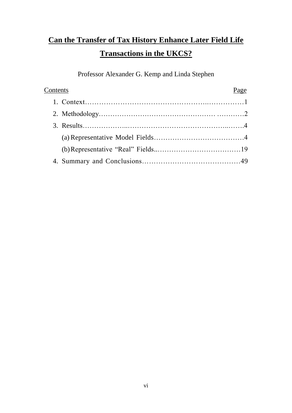# **Can the Transfer of Tax History Enhance Later Field Life Transactions in the UKCS?**

Professor Alexander G. Kemp and Linda Stephen

| Contents | Page |
|----------|------|
|          |      |
|          |      |
|          |      |
|          |      |
|          |      |
|          |      |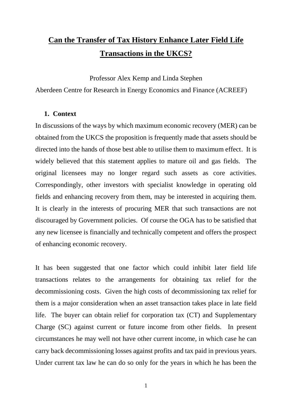## **Can the Transfer of Tax History Enhance Later Field Life Transactions in the UKCS?**

Professor Alex Kemp and Linda Stephen

Aberdeen Centre for Research in Energy Economics and Finance (ACREEF)

#### **1. Context**

In discussions of the ways by which maximum economic recovery (MER) can be obtained from the UKCS the proposition is frequently made that assets should be directed into the hands of those best able to utilise them to maximum effect. It is widely believed that this statement applies to mature oil and gas fields. The original licensees may no longer regard such assets as core activities. Correspondingly, other investors with specialist knowledge in operating old fields and enhancing recovery from them, may be interested in acquiring them. It is clearly in the interests of procuring MER that such transactions are not discouraged by Government policies. Of course the OGA has to be satisfied that any new licensee is financially and technically competent and offers the prospect of enhancing economic recovery.

It has been suggested that one factor which could inhibit later field life transactions relates to the arrangements for obtaining tax relief for the decommissioning costs. Given the high costs of decommissioning tax relief for them is a major consideration when an asset transaction takes place in late field life. The buyer can obtain relief for corporation tax (CT) and Supplementary Charge (SC) against current or future income from other fields. In present circumstances he may well not have other current income, in which case he can carry back decommissioning losses against profits and tax paid in previous years. Under current tax law he can do so only for the years in which he has been the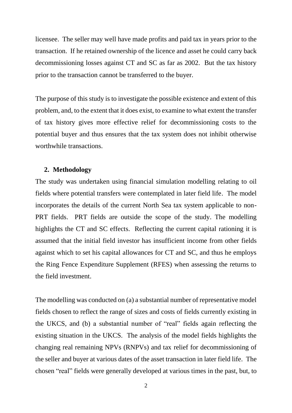licensee. The seller may well have made profits and paid tax in years prior to the transaction. If he retained ownership of the licence and asset he could carry back decommissioning losses against CT and SC as far as 2002. But the tax history prior to the transaction cannot be transferred to the buyer.

The purpose of this study is to investigate the possible existence and extent of this problem, and, to the extent that it does exist, to examine to what extent the transfer of tax history gives more effective relief for decommissioning costs to the potential buyer and thus ensures that the tax system does not inhibit otherwise worthwhile transactions.

#### **2. Methodology**

The study was undertaken using financial simulation modelling relating to oil fields where potential transfers were contemplated in later field life. The model incorporates the details of the current North Sea tax system applicable to non-PRT fields. PRT fields are outside the scope of the study. The modelling highlights the CT and SC effects. Reflecting the current capital rationing it is assumed that the initial field investor has insufficient income from other fields against which to set his capital allowances for CT and SC, and thus he employs the Ring Fence Expenditure Supplement (RFES) when assessing the returns to the field investment.

The modelling was conducted on (a) a substantial number of representative model fields chosen to reflect the range of sizes and costs of fields currently existing in the UKCS, and (b) a substantial number of "real" fields again reflecting the existing situation in the UKCS. The analysis of the model fields highlights the changing real remaining NPVs (RNPVs) and tax relief for decommissioning of the seller and buyer at various dates of the asset transaction in later field life. The chosen "real" fields were generally developed at various times in the past, but, to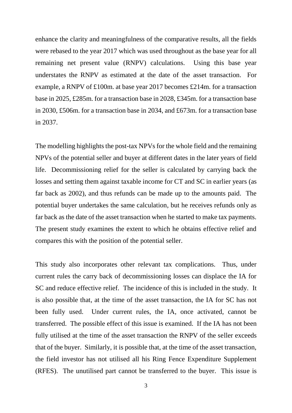enhance the clarity and meaningfulness of the comparative results, all the fields were rebased to the year 2017 which was used throughout as the base year for all remaining net present value (RNPV) calculations. Using this base year understates the RNPV as estimated at the date of the asset transaction. For example, a RNPV of £100m. at base year 2017 becomes £214m. for a transaction base in 2025, £285m. for a transaction base in 2028, £345m. for a transaction base in 2030, £506m. for a transaction base in 2034, and £673m. for a transaction base in 2037.

The modelling highlights the post-tax NPVs for the whole field and the remaining NPVs of the potential seller and buyer at different dates in the later years of field life. Decommissioning relief for the seller is calculated by carrying back the losses and setting them against taxable income for CT and SC in earlier years (as far back as 2002), and thus refunds can be made up to the amounts paid. The potential buyer undertakes the same calculation, but he receives refunds only as far back as the date of the asset transaction when he started to make tax payments. The present study examines the extent to which he obtains effective relief and compares this with the position of the potential seller.

This study also incorporates other relevant tax complications. Thus, under current rules the carry back of decommissioning losses can displace the IA for SC and reduce effective relief. The incidence of this is included in the study. It is also possible that, at the time of the asset transaction, the IA for SC has not been fully used. Under current rules, the IA, once activated, cannot be transferred. The possible effect of this issue is examined. If the IA has not been fully utilised at the time of the asset transaction the RNPV of the seller exceeds that of the buyer. Similarly, it is possible that, at the time of the asset transaction, the field investor has not utilised all his Ring Fence Expenditure Supplement (RFES). The unutilised part cannot be transferred to the buyer. This issue is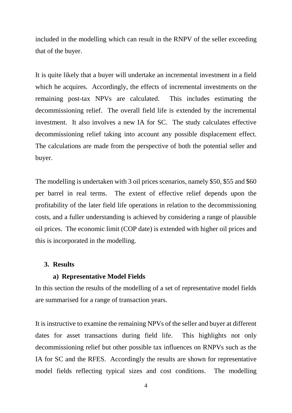included in the modelling which can result in the RNPV of the seller exceeding that of the buyer.

It is quite likely that a buyer will undertake an incremental investment in a field which he acquires. Accordingly, the effects of incremental investments on the remaining post-tax NPVs are calculated. This includes estimating the decommissioning relief. The overall field life is extended by the incremental investment. It also involves a new IA for SC. The study calculates effective decommissioning relief taking into account any possible displacement effect. The calculations are made from the perspective of both the potential seller and buyer.

The modelling is undertaken with 3 oil prices scenarios, namely \$50, \$55 and \$60 per barrel in real terms. The extent of effective relief depends upon the profitability of the later field life operations in relation to the decommissioning costs, and a fuller understanding is achieved by considering a range of plausible oil prices. The economic limit (COP date) is extended with higher oil prices and this is incorporated in the modelling.

#### **3. Results**

#### **a) Representative Model Fields**

In this section the results of the modelling of a set of representative model fields are summarised for a range of transaction years.

It is instructive to examine the remaining NPVs of the seller and buyer at different dates for asset transactions during field life. This highlights not only decommissioning relief but other possible tax influences on RNPVs such as the IA for SC and the RFES. Accordingly the results are shown for representative model fields reflecting typical sizes and cost conditions. The modelling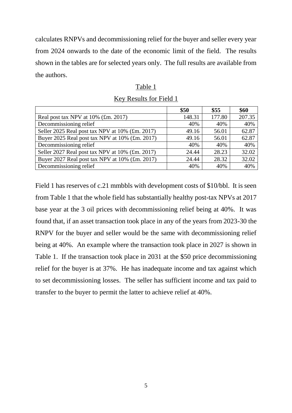calculates RNPVs and decommissioning relief for the buyer and seller every year from 2024 onwards to the date of the economic limit of the field. The results shown in the tables are for selected years only. The full results are available from the authors.

#### Table 1

| Key Results for Field 1 |
|-------------------------|
|-------------------------|

|                                                 | \$50   | \$55   | \$60   |
|-------------------------------------------------|--------|--------|--------|
| Real post tax NPV at $10\%$ (£m. 2017)          | 148.31 | 177.80 | 207.35 |
| Decommissioning relief                          | 40%    | 40%    | 40%    |
| Seller 2025 Real post tax NPV at 10% (£m. 2017) | 49.16  | 56.01  | 62.87  |
| Buyer 2025 Real post tax NPV at 10% (£m. 2017)  | 49.16  | 56.01  | 62.87  |
| Decommissioning relief                          | 40%    | 40%    | 40%    |
| Seller 2027 Real post tax NPV at 10% (£m. 2017) | 24.44  | 28.23  | 32.02  |
| Buyer 2027 Real post tax NPV at 10% (£m. 2017)  | 24.44  | 28.32  | 32.02  |
| Decommissioning relief                          | 40%    | 40%    | 40%    |

Field 1 has reserves of c.21 mmbbls with development costs of \$10/bbl. It is seen from Table 1 that the whole field has substantially healthy post-tax NPVs at 2017 base year at the 3 oil prices with decommissioning relief being at 40%. It was found that, if an asset transaction took place in any of the years from 2023-30 the RNPV for the buyer and seller would be the same with decommissioning relief being at 40%. An example where the transaction took place in 2027 is shown in Table 1. If the transaction took place in 2031 at the \$50 price decommissioning relief for the buyer is at 37%. He has inadequate income and tax against which to set decommissioning losses. The seller has sufficient income and tax paid to transfer to the buyer to permit the latter to achieve relief at 40%.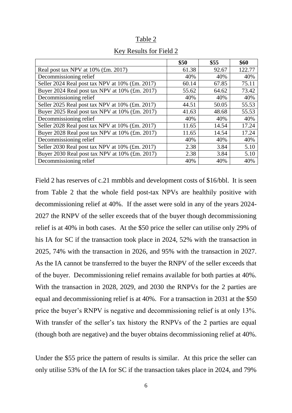|                                                 | \$50  | \$55  | \$60   |
|-------------------------------------------------|-------|-------|--------|
| Real post tax NPV at $10\%$ (£m. 2017)          | 61.38 | 92.67 | 122.77 |
| Decommissioning relief                          | 40%   | 40%   | 40%    |
| Seller 2024 Real post tax NPV at 10% (£m. 2017) | 60.14 | 67.85 | 75.11  |
| Buyer 2024 Real post tax NPV at 10% (£m. 2017)  | 55.62 | 64.62 | 73.42  |
| Decommissioning relief                          | 40%   | 40%   | 40%    |
| Seller 2025 Real post tax NPV at 10% (£m. 2017) | 44.51 | 50.05 | 55.53  |
| Buyer 2025 Real post tax NPV at 10% (£m. 2017)  | 41.63 | 48.68 | 55.53  |
| Decommissioning relief                          | 40%   | 40%   | 40%    |
| Seller 2028 Real post tax NPV at 10% (£m. 2017) | 11.65 | 14.54 | 17.24  |
| Buyer 2028 Real post tax NPV at 10% (£m. 2017)  | 11.65 | 14.54 | 17.24  |
| Decommissioning relief                          | 40%   | 40%   | 40%    |
| Seller 2030 Real post tax NPV at 10% (£m. 2017) | 2.38  | 3.84  | 5.10   |
| Buyer 2030 Real post tax NPV at 10% (£m. 2017)  | 2.38  | 3.84  | 5.10   |
| Decommissioning relief                          | 40%   | 40%   | 40%    |

#### Key Results for Field 2

Field 2 has reserves of c.21 mmbbls and development costs of \$16/bbl. It is seen from Table 2 that the whole field post-tax NPVs are healthily positive with decommissioning relief at 40%. If the asset were sold in any of the years 2024- 2027 the RNPV of the seller exceeds that of the buyer though decommissioning relief is at 40% in both cases. At the \$50 price the seller can utilise only 29% of his IA for SC if the transaction took place in 2024, 52% with the transaction in 2025, 74% with the transaction in 2026, and 95% with the transaction in 2027. As the IA cannot be transferred to the buyer the RNPV of the seller exceeds that of the buyer. Decommissioning relief remains available for both parties at 40%. With the transaction in 2028, 2029, and 2030 the RNPVs for the 2 parties are equal and decommissioning relief is at 40%. For a transaction in 2031 at the \$50 price the buyer's RNPV is negative and decommissioning relief is at only 13%. With transfer of the seller's tax history the RNPVs of the 2 parties are equal (though both are negative) and the buyer obtains decommissioning relief at 40%.

Under the \$55 price the pattern of results is similar. At this price the seller can only utilise 53% of the IA for SC if the transaction takes place in 2024, and 79%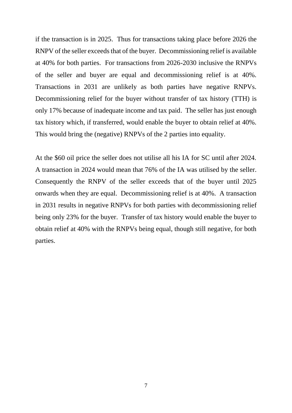if the transaction is in 2025. Thus for transactions taking place before 2026 the RNPV of the seller exceeds that of the buyer. Decommissioning relief is available at 40% for both parties. For transactions from 2026-2030 inclusive the RNPVs of the seller and buyer are equal and decommissioning relief is at 40%. Transactions in 2031 are unlikely as both parties have negative RNPVs. Decommissioning relief for the buyer without transfer of tax history (TTH) is only 17% because of inadequate income and tax paid. The seller has just enough tax history which, if transferred, would enable the buyer to obtain relief at 40%. This would bring the (negative) RNPVs of the 2 parties into equality.

At the \$60 oil price the seller does not utilise all his IA for SC until after 2024. A transaction in 2024 would mean that 76% of the IA was utilised by the seller. Consequently the RNPV of the seller exceeds that of the buyer until 2025 onwards when they are equal. Decommissioning relief is at 40%. A transaction in 2031 results in negative RNPVs for both parties with decommissioning relief being only 23% for the buyer. Transfer of tax history would enable the buyer to obtain relief at 40% with the RNPVs being equal, though still negative, for both parties.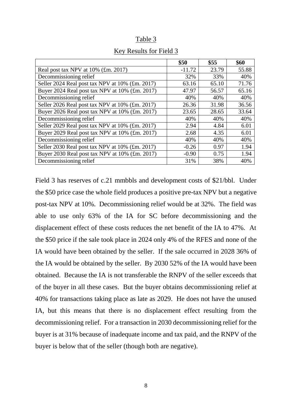|                                                 | \$50     | \$55  | \$60  |
|-------------------------------------------------|----------|-------|-------|
| Real post tax NPV at $10\%$ (£m. 2017)          | $-11.72$ | 23.79 | 55.88 |
| Decommissioning relief                          | 32%      | 33%   | 40%   |
| Seller 2024 Real post tax NPV at 10% (£m. 2017) | 63.16    | 65.10 | 71.76 |
| Buyer 2024 Real post tax NPV at 10% (£m. 2017)  | 47.97    | 56.57 | 65.16 |
| Decommissioning relief                          | 40%      | 40%   | 40%   |
| Seller 2026 Real post tax NPV at 10% (£m. 2017) | 26.36    | 31.98 | 36.56 |
| Buyer 2026 Real post tax NPV at 10% (£m. 2017)  | 23.65    | 28.65 | 33.64 |
| Decommissioning relief                          | 40%      | 40%   | 40%   |
| Seller 2029 Real post tax NPV at 10% (£m. 2017) | 2.94     | 4.84  | 6.01  |
| Buyer 2029 Real post tax NPV at 10% (£m. 2017)  | 2.68     | 4.35  | 6.01  |
| Decommissioning relief                          | 40%      | 40%   | 40%   |
| Seller 2030 Real post tax NPV at 10% (£m. 2017) | $-0.26$  | 0.97  | 1.94  |
| Buyer 2030 Real post tax NPV at 10% (£m. 2017)  | $-0.90$  | 0.75  | 1.94  |
| Decommissioning relief                          | 31%      | 38%   | 40%   |

#### Key Results for Field 3

Field 3 has reserves of c.21 mmbbls and development costs of \$21/bbl. Under the \$50 price case the whole field produces a positive pre-tax NPV but a negative post-tax NPV at 10%. Decommissioning relief would be at 32%. The field was able to use only 63% of the IA for SC before decommissioning and the displacement effect of these costs reduces the net benefit of the IA to 47%. At the \$50 price if the sale took place in 2024 only 4% of the RFES and none of the IA would have been obtained by the seller. If the sale occurred in 2028 36% of the IA would be obtained by the seller. By 2030 52% of the IA would have been obtained. Because the IA is not transferable the RNPV of the seller exceeds that of the buyer in all these cases. But the buyer obtains decommissioning relief at 40% for transactions taking place as late as 2029. He does not have the unused IA, but this means that there is no displacement effect resulting from the decommissioning relief. For a transaction in 2030 decommissioning relief for the buyer is at 31% because of inadequate income and tax paid, and the RNPV of the buyer is below that of the seller (though both are negative).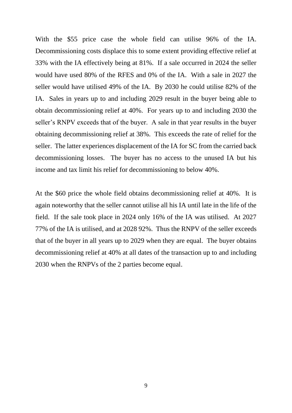With the \$55 price case the whole field can utilise 96% of the IA. Decommissioning costs displace this to some extent providing effective relief at 33% with the IA effectively being at 81%. If a sale occurred in 2024 the seller would have used 80% of the RFES and 0% of the IA. With a sale in 2027 the seller would have utilised 49% of the IA. By 2030 he could utilise 82% of the IA. Sales in years up to and including 2029 result in the buyer being able to obtain decommissioning relief at 40%. For years up to and including 2030 the seller's RNPV exceeds that of the buyer. A sale in that year results in the buyer obtaining decommissioning relief at 38%. This exceeds the rate of relief for the seller. The latter experiences displacement of the IA for SC from the carried back decommissioning losses. The buyer has no access to the unused IA but his income and tax limit his relief for decommissioning to below 40%.

At the \$60 price the whole field obtains decommissioning relief at 40%. It is again noteworthy that the seller cannot utilise all his IA until late in the life of the field. If the sale took place in 2024 only 16% of the IA was utilised. At 2027 77% of the IA is utilised, and at 2028 92%. Thus the RNPV of the seller exceeds that of the buyer in all years up to 2029 when they are equal. The buyer obtains decommissioning relief at 40% at all dates of the transaction up to and including 2030 when the RNPVs of the 2 parties become equal.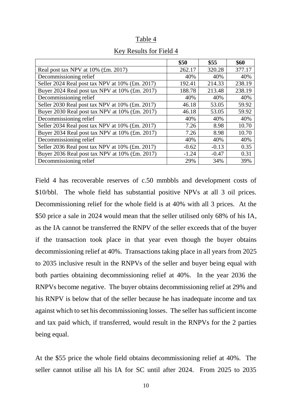#### Table 4

|                                                 | \$50    | \$55    | \$60   |
|-------------------------------------------------|---------|---------|--------|
| Real post tax NPV at $10\%$ (£m. 2017)          | 262.17  | 320.28  | 377.17 |
| Decommissioning relief                          | 40%     | 40%     | 40%    |
| Seller 2024 Real post tax NPV at 10% (£m. 2017) | 192.41  | 214.33  | 238.19 |
| Buyer 2024 Real post tax NPV at 10% (£m. 2017)  | 188.78  | 213.48  | 238.19 |
| Decommissioning relief                          | 40%     | 40%     | 40%    |
| Seller 2030 Real post tax NPV at 10% (£m. 2017) | 46.18   | 53.05   | 59.92  |
| Buyer 2030 Real post tax NPV at 10% (£m. 2017)  | 46.18   | 53.05   | 59.92  |
| Decommissioning relief                          | 40%     | 40%     | 40%    |
| Seller 2034 Real post tax NPV at 10% (£m. 2017) | 7.26    | 8.98    | 10.70  |
| Buyer 2034 Real post tax NPV at 10% (£m. 2017)  | 7.26    | 8.98    | 10.70  |
| Decommissioning relief                          | 40%     | 40%     | 40%    |
| Seller 2036 Real post tax NPV at 10% (£m. 2017) | $-0.62$ | $-0.13$ | 0.35   |
| Buyer 2036 Real post tax NPV at 10% (£m. 2017)  | $-1.24$ | $-0.47$ | 0.31   |
| Decommissioning relief                          | 29%     | 34%     | 39%    |

#### Key Results for Field 4

Field 4 has recoverable reserves of c.50 mmbbls and development costs of \$10/bbl. The whole field has substantial positive NPVs at all 3 oil prices. Decommissioning relief for the whole field is at 40% with all 3 prices. At the \$50 price a sale in 2024 would mean that the seller utilised only 68% of his IA, as the IA cannot be transferred the RNPV of the seller exceeds that of the buyer if the transaction took place in that year even though the buyer obtains decommissioning relief at 40%. Transactions taking place in all years from 2025 to 2035 inclusive result in the RNPVs of the seller and buyer being equal with both parties obtaining decommissioning relief at 40%. In the year 2036 the RNPVs become negative. The buyer obtains decommissioning relief at 29% and his RNPV is below that of the seller because he has inadequate income and tax against which to set his decommissioning losses. The seller has sufficient income and tax paid which, if transferred, would result in the RNPVs for the 2 parties being equal.

At the \$55 price the whole field obtains decommissioning relief at 40%. The seller cannot utilise all his IA for SC until after 2024. From 2025 to 2035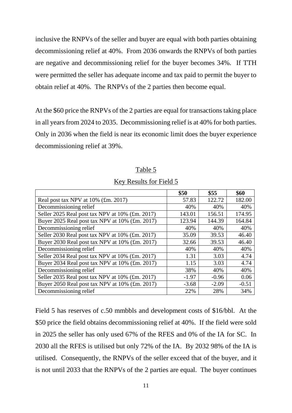inclusive the RNPVs of the seller and buyer are equal with both parties obtaining decommissioning relief at 40%. From 2036 onwards the RNPVs of both parties are negative and decommissioning relief for the buyer becomes 34%. If TTH were permitted the seller has adequate income and tax paid to permit the buyer to obtain relief at 40%. The RNPVs of the 2 parties then become equal.

At the \$60 price the RNPVs of the 2 parties are equal for transactions taking place in all years from 2024 to 2035. Decommissioning relief is at 40% for both parties. Only in 2036 when the field is near its economic limit does the buyer experience decommissioning relief at 39%.

#### Table 5

|                                                 | \$50    | \$55    | \$60    |
|-------------------------------------------------|---------|---------|---------|
| Real post tax NPV at $10\%$ (£m. 2017)          | 57.83   | 122.72  | 182.00  |
| Decommissioning relief                          | 40%     | 40%     | 40%     |
| Seller 2025 Real post tax NPV at 10% (£m. 2017) | 143.01  | 156.51  | 174.95  |
| Buyer 2025 Real post tax NPV at 10% (£m. 2017)  | 123.94  | 144.39  | 164.84  |
| Decommissioning relief                          | 40%     | 40%     | 40%     |
| Seller 2030 Real post tax NPV at 10% (£m. 2017) | 35.09   | 39.53   | 46.40   |
| Buyer 2030 Real post tax NPV at 10% (£m. 2017)  | 32.66   | 39.53   | 46.40   |
| Decommissioning relief                          | 40%     | 40%     | 40%     |
| Seller 2034 Real post tax NPV at 10% (£m. 2017) | 1.31    | 3.03    | 4.74    |
| Buyer 2034 Real post tax NPV at 10% (£m. 2017)  | 1.15    | 3.03    | 4.74    |
| Decommissioning relief                          | 38%     | 40%     | 40%     |
| Seller 2035 Real post tax NPV at 10% (£m. 2017) | $-1.97$ | $-0.96$ | 0.06    |
| Buyer 2050 Real post tax NPV at 10% (£m. 2017)  | $-3.68$ | $-2.09$ | $-0.51$ |
| Decommissioning relief                          | 22%     | 28%     | 34%     |

#### Key Results for Field 5

Field 5 has reserves of c.50 mmbbls and development costs of \$16/bbl. At the \$50 price the field obtains decommissioning relief at 40%. If the field were sold in 2025 the seller has only used 67% of the RFES and 0% of the IA for SC. In 2030 all the RFES is utilised but only 72% of the IA. By 2032 98% of the IA is utilised. Consequently, the RNPVs of the seller exceed that of the buyer, and it is not until 2033 that the RNPVs of the 2 parties are equal. The buyer continues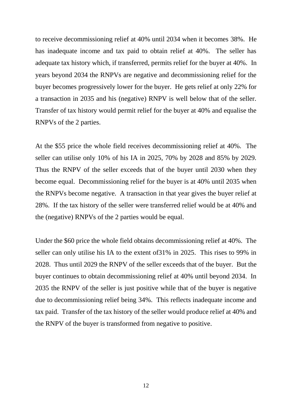to receive decommissioning relief at 40% until 2034 when it becomes 38%. He has inadequate income and tax paid to obtain relief at 40%. The seller has adequate tax history which, if transferred, permits relief for the buyer at 40%. In years beyond 2034 the RNPVs are negative and decommissioning relief for the buyer becomes progressively lower for the buyer. He gets relief at only 22% for a transaction in 2035 and his (negative) RNPV is well below that of the seller. Transfer of tax history would permit relief for the buyer at 40% and equalise the RNPVs of the 2 parties.

At the \$55 price the whole field receives decommissioning relief at 40%. The seller can utilise only 10% of his IA in 2025, 70% by 2028 and 85% by 2029. Thus the RNPV of the seller exceeds that of the buyer until 2030 when they become equal. Decommissioning relief for the buyer is at 40% until 2035 when the RNPVs become negative. A transaction in that year gives the buyer relief at 28%. If the tax history of the seller were transferred relief would be at 40% and the (negative) RNPVs of the 2 parties would be equal.

Under the \$60 price the whole field obtains decommissioning relief at 40%. The seller can only utilise his IA to the extent of31% in 2025. This rises to 99% in 2028. Thus until 2029 the RNPV of the seller exceeds that of the buyer. But the buyer continues to obtain decommissioning relief at 40% until beyond 2034. In 2035 the RNPV of the seller is just positive while that of the buyer is negative due to decommissioning relief being 34%. This reflects inadequate income and tax paid. Transfer of the tax history of the seller would produce relief at 40% and the RNPV of the buyer is transformed from negative to positive.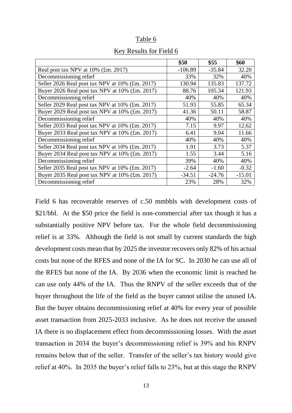#### Table 6

|                                                 | \$50      | \$55     | \$60     |
|-------------------------------------------------|-----------|----------|----------|
| Real post tax NPV at $10\%$ (£m. 2017)          | $-106.89$ | $-35.84$ | 32.20    |
| Decommissioning relief                          | 33%       | 32%      | 40%      |
| Seller 2026 Real post tax NPV at 10% (£m. 2017) | 130.94    | 135.83   | 137.72   |
| Buyer 2026 Real post tax NPV at 10% (£m. 2017)  | 88.76     | 105.34   | 121.93   |
| Decommissioning relief                          | 40%       | 40%      | 40%      |
| Seller 2029 Real post tax NPV at 10% (£m. 2017) | 51.93     | 55.85    | 65.34    |
| Buyer 2029 Real post tax NPV at 10% (£m. 2017)  | 41.36     | 50.11    | 58.87    |
| Decommissioning relief                          | 40%       | 40%      | 40%      |
| Seller 2033 Real post tax NPV at 10% (£m. 2017) | 7.15      | 9.97     | 12.62    |
| Buyer 2033 Real post tax NPV at 10% (£m. 2017)  | 6.41      | 9.04     | 11.66    |
| Decommissioning relief                          | 40%       | 40%      | 40%      |
| Seller 2034 Real post tax NPV at 10% (£m. 2017) | 1.91      | 3.73     | 5.37     |
| Buyer 2034 Real post tax NPV at 10% (£m. 2017)  | 1.55      | 3.44     | 5.16     |
| Decommissioning relief                          | 39%       | 40%      | 40%      |
| Seller 2035 Real post tax NPV at 10% (£m. 2017) | $-2.64$   | $-1.60$  | $-0.32$  |
| Buyer 2035 Real post tax NPV at 10% (£m. 2017)  | $-34.51$  | $-24.76$ | $-15.01$ |
| Decommissioning relief                          | 23%       | 28%      | 32%      |

#### Key Results for Field 6

Field 6 has recoverable reserves of c.50 mmbbls with development costs of \$21/bbl. At the \$50 price the field is non-commercial after tax though it has a substantially positive NPV before tax. For the whole field decommissioning relief is at 33%. Although the field is not small by current standards the high development costs mean that by 2025 the investor recovers only 82% of his actual costs but none of the RFES and none of the IA for SC. In 2030 he can use all of the RFES but none of the IA. By 2036 when the economic limit is reached he can use only 44% of the IA. Thus the RNPV of the seller exceeds that of the buyer throughout the life of the field as the buyer cannot utilise the unused IA. But the buyer obtains decommissioning relief at 40% for every year of possible asset transaction from 2025-2033 inclusive. As he does not receive the unused IA there is no displacement effect from decommissioning losses. With the asset transaction in 2034 the buyer's decommissioning relief is 39% and his RNPV remains below that of the seller. Transfer of the seller's tax history would give relief at 40%. In 2035 the buyer's relief falls to 23%, but at this stage the RNPV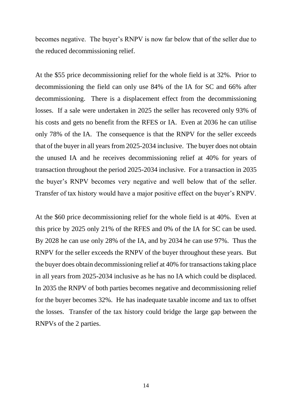becomes negative. The buyer's RNPV is now far below that of the seller due to the reduced decommissioning relief.

At the \$55 price decommissioning relief for the whole field is at 32%. Prior to decommissioning the field can only use 84% of the IA for SC and 66% after decommissioning. There is a displacement effect from the decommissioning losses. If a sale were undertaken in 2025 the seller has recovered only 93% of his costs and gets no benefit from the RFES or IA. Even at 2036 he can utilise only 78% of the IA. The consequence is that the RNPV for the seller exceeds that of the buyer in all years from 2025-2034 inclusive. The buyer does not obtain the unused IA and he receives decommissioning relief at 40% for years of transaction throughout the period 2025-2034 inclusive. For a transaction in 2035 the buyer's RNPV becomes very negative and well below that of the seller. Transfer of tax history would have a major positive effect on the buyer's RNPV.

At the \$60 price decommissioning relief for the whole field is at 40%. Even at this price by 2025 only 21% of the RFES and 0% of the IA for SC can be used. By 2028 he can use only 28% of the IA, and by 2034 he can use 97%. Thus the RNPV for the seller exceeds the RNPV of the buyer throughout these years. But the buyer does obtain decommissioning relief at 40% for transactions taking place in all years from 2025-2034 inclusive as he has no IA which could be displaced. In 2035 the RNPV of both parties becomes negative and decommissioning relief for the buyer becomes 32%. He has inadequate taxable income and tax to offset the losses. Transfer of the tax history could bridge the large gap between the RNPVs of the 2 parties.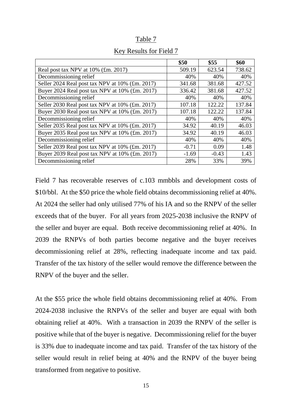#### Table 7

|                                                 | \$50    | \$55    | \$60   |
|-------------------------------------------------|---------|---------|--------|
| Real post tax NPV at 10% (£m. 2017)             | 509.19  | 623.54  | 738.62 |
| Decommissioning relief                          | 40%     | 40%     | 40%    |
| Seller 2024 Real post tax NPV at 10% (£m. 2017) | 341.68  | 381.68  | 427.52 |
| Buyer 2024 Real post tax NPV at 10% (£m. 2017)  | 336.42  | 381.68  | 427.52 |
| Decommissioning relief                          | 40%     | 40%     | 40%    |
| Seller 2030 Real post tax NPV at 10% (£m. 2017) | 107.18  | 122.22  | 137.84 |
| Buyer 2030 Real post tax NPV at 10% (£m. 2017)  | 107.18  | 122.22  | 137.84 |
| Decommissioning relief                          | 40%     | 40%     | 40%    |
| Seller 2035 Real post tax NPV at 10% (£m. 2017) | 34.92   | 40.19   | 46.03  |
| Buyer 2035 Real post tax NPV at 10% (£m. 2017)  | 34.92   | 40.19   | 46.03  |
| Decommissioning relief                          | 40%     | 40%     | 40%    |
| Seller 2039 Real post tax NPV at 10% (£m. 2017) | $-0.71$ | 0.09    | 1.48   |
| Buyer 2039 Real post tax NPV at 10% (£m. 2017)  | $-1.69$ | $-0.43$ | 1.43   |
| Decommissioning relief                          | 28%     | 33%     | 39%    |

#### Key Results for Field 7

Field 7 has recoverable reserves of c.103 mmbbls and development costs of \$10/bbl. At the \$50 price the whole field obtains decommissioning relief at 40%. At 2024 the seller had only utilised 77% of his IA and so the RNPV of the seller exceeds that of the buyer. For all years from 2025-2038 inclusive the RNPV of the seller and buyer are equal. Both receive decommissioning relief at 40%. In 2039 the RNPVs of both parties become negative and the buyer receives decommissioning relief at 28%, reflecting inadequate income and tax paid. Transfer of the tax history of the seller would remove the difference between the RNPV of the buyer and the seller.

At the \$55 price the whole field obtains decommissioning relief at 40%. From 2024-2038 inclusive the RNPVs of the seller and buyer are equal with both obtaining relief at 40%. With a transaction in 2039 the RNPV of the seller is positive while that of the buyer is negative. Decommissioning relief for the buyer is 33% due to inadequate income and tax paid. Transfer of the tax history of the seller would result in relief being at 40% and the RNPV of the buyer being transformed from negative to positive.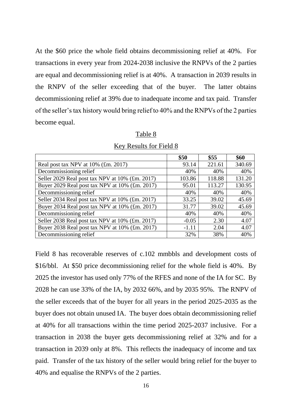At the \$60 price the whole field obtains decommissioning relief at 40%. For transactions in every year from 2024-2038 inclusive the RNPVs of the 2 parties are equal and decommissioning relief is at 40%. A transaction in 2039 results in the RNPV of the seller exceeding that of the buyer. The latter obtains decommissioning relief at 39% due to inadequate income and tax paid. Transfer of the seller's tax history would bring relief to 40% and the RNPVs of the 2 parties become equal.

|--|

|                                                 | \$50    | \$55   | \$60   |
|-------------------------------------------------|---------|--------|--------|
| Real post tax NPV at 10% (£m. 2017)             | 93.14   | 221.61 | 340.69 |
| Decommissioning relief                          | 40%     | 40%    | 40%    |
| Seller 2029 Real post tax NPV at 10% (£m. 2017) | 103.86  | 118.88 | 131.20 |
| Buyer 2029 Real post tax NPV at 10% (£m. 2017)  | 95.01   | 113.27 | 130.95 |
| Decommissioning relief                          | 40%     | 40%    | 40%    |
| Seller 2034 Real post tax NPV at 10% (£m. 2017) | 33.25   | 39.02  | 45.69  |
| Buyer 2034 Real post tax NPV at 10% (£m. 2017)  | 31.77   | 39.02  | 45.69  |
| Decommissioning relief                          | 40%     | 40%    | 40%    |
| Seller 2038 Real post tax NPV at 10% (£m. 2017) | $-0.05$ | 2.30   | 4.07   |
| Buyer 2038 Real post tax NPV at 10% (£m. 2017)  | $-1.11$ | 2.04   | 4.07   |
| Decommissioning relief                          | 32%     | 38%    | 40%    |

Key Results for Field 8

Field 8 has recoverable reserves of c.102 mmbbls and development costs of \$16/bbl. At \$50 price decommissioning relief for the whole field is 40%. By 2025 the investor has used only 77% of the RFES and none of the IA for SC. By 2028 he can use 33% of the IA, by 2032 66%, and by 2035 95%. The RNPV of the seller exceeds that of the buyer for all years in the period 2025-2035 as the buyer does not obtain unused IA. The buyer does obtain decommissioning relief at 40% for all transactions within the time period 2025-2037 inclusive. For a transaction in 2038 the buyer gets decommissioning relief at 32% and for a transaction in 2039 only at 8%. This reflects the inadequacy of income and tax paid. Transfer of the tax history of the seller would bring relief for the buyer to 40% and equalise the RNPVs of the 2 parties.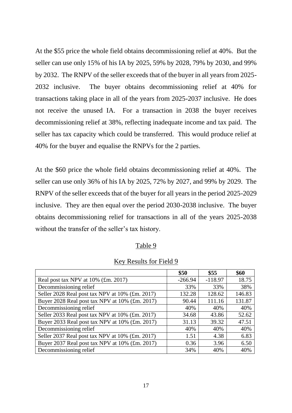At the \$55 price the whole field obtains decommissioning relief at 40%. But the seller can use only 15% of his IA by 2025, 59% by 2028, 79% by 2030, and 99% by 2032. The RNPV of the seller exceeds that of the buyer in all years from 2025- 2032 inclusive. The buyer obtains decommissioning relief at 40% for transactions taking place in all of the years from 2025-2037 inclusive. He does not receive the unused IA. For a transaction in 2038 the buyer receives decommissioning relief at 38%, reflecting inadequate income and tax paid. The seller has tax capacity which could be transferred. This would produce relief at 40% for the buyer and equalise the RNPVs for the 2 parties.

At the \$60 price the whole field obtains decommissioning relief at 40%. The seller can use only 36% of his IA by 2025, 72% by 2027, and 99% by 2029. The RNPV of the seller exceeds that of the buyer for all years in the period 2025-2029 inclusive. They are then equal over the period 2030-2038 inclusive. The buyer obtains decommissioning relief for transactions in all of the years 2025-2038 without the transfer of the seller's tax history.

#### Table 9

#### **\$50 \$55 \$60** Real post tax NPV at  $10\%$  (£m. 2017)  $\qquad \qquad$  -266.94 | -118.97 | 18.75 Decommissioning relief 33% 33% 38% Seller 2028 Real post tax NPV at 10% (£m. 2017) 132.28 128.62 146.83 Buyer 2028 Real post tax NPV at 10% (£m. 2017) 90.44 111.16 131.87 Decommissioning relief  $40\%$   $40\%$   $40\%$   $40\%$ Seller 2033 Real post tax NPV at 10% (£m. 2017) 34.68 43.86 52.62 Buyer 2033 Real post tax NPV at  $10\%$  (£m. 2017)  $\boxed{31.13}$  39.32 47.51 Decommissioning relief  $40\%$   $40\%$   $40\%$ Seller 2037 Real post tax NPV at  $10\%$  (£m. 2017) 1.51 4.38 6.83 Buyer 2037 Real post tax NPV at  $10\%$  (£m. 2017)  $\boxed{0.36}$  3.96 6.50

#### Key Results for Field 9

Decommissioning relief  $34\%$   $40\%$   $40\%$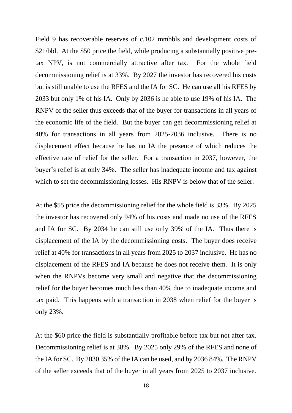Field 9 has recoverable reserves of c.102 mmbbls and development costs of \$21/bbl. At the \$50 price the field, while producing a substantially positive pretax NPV, is not commercially attractive after tax. For the whole field decommissioning relief is at 33%. By 2027 the investor has recovered his costs but is still unable to use the RFES and the IA for SC. He can use all his RFES by 2033 but only 1% of his IA. Only by 2036 is he able to use 19% of his IA. The RNPV of the seller thus exceeds that of the buyer for transactions in all years of the economic life of the field. But the buyer can get decommissioning relief at 40% for transactions in all years from 2025-2036 inclusive. There is no displacement effect because he has no IA the presence of which reduces the effective rate of relief for the seller. For a transaction in 2037, however, the buyer's relief is at only 34%. The seller has inadequate income and tax against which to set the decommissioning losses. His RNPV is below that of the seller.

At the \$55 price the decommissioning relief for the whole field is 33%. By 2025 the investor has recovered only 94% of his costs and made no use of the RFES and IA for SC. By 2034 he can still use only 39% of the IA. Thus there is displacement of the IA by the decommissioning costs. The buyer does receive relief at 40% for transactions in all years from 2025 to 2037 inclusive. He has no displacement of the RFES and IA because he does not receive them. It is only when the RNPVs become very small and negative that the decommissioning relief for the buyer becomes much less than 40% due to inadequate income and tax paid. This happens with a transaction in 2038 when relief for the buyer is only 23%.

At the \$60 price the field is substantially profitable before tax but not after tax. Decommissioning relief is at 38%. By 2025 only 29% of the RFES and none of the IA for SC. By 2030 35% of the IA can be used, and by 2036 84%. The RNPV of the seller exceeds that of the buyer in all years from 2025 to 2037 inclusive.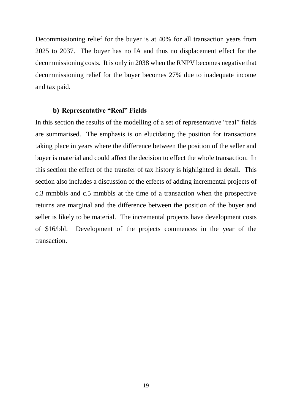Decommissioning relief for the buyer is at 40% for all transaction years from 2025 to 2037. The buyer has no IA and thus no displacement effect for the decommissioning costs. It is only in 2038 when the RNPV becomes negative that decommissioning relief for the buyer becomes 27% due to inadequate income and tax paid.

#### **b) Representative "Real" Fields**

In this section the results of the modelling of a set of representative "real" fields are summarised. The emphasis is on elucidating the position for transactions taking place in years where the difference between the position of the seller and buyer is material and could affect the decision to effect the whole transaction. In this section the effect of the transfer of tax history is highlighted in detail. This section also includes a discussion of the effects of adding incremental projects of c.3 mmbbls and c.5 mmbbls at the time of a transaction when the prospective returns are marginal and the difference between the position of the buyer and seller is likely to be material. The incremental projects have development costs of \$16/bbl. Development of the projects commences in the year of the transaction.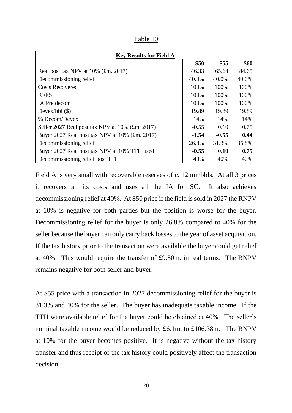| anie |
|------|
|------|

| <b>Key Results for Field A</b>                  |         |         |       |
|-------------------------------------------------|---------|---------|-------|
|                                                 | \$50    | \$55    | \$60  |
| Real post tax NPV at $10\%$ (£m. 2017)          | 46.33   | 65.64   | 84.65 |
| Decommissioning relief                          | 40.0%   | 40.0%   | 40.0% |
| <b>Costs Recovered</b>                          | 100%    | 100%    | 100%  |
| <b>RFES</b>                                     | 100%    | 100%    | 100%  |
| IA Pre decom                                    | 100%    | 100%    | 100%  |
| Devex/bbl $(\$)$                                | 19.89   | 19.89   | 19.89 |
| % Decom/Devex                                   | 14%     | 14%     | 14%   |
| Seller 2027 Real post tax NPV at 10% (£m. 2017) | $-0.55$ | 0.10    | 0.75  |
| Buyer 2027 Real post tax NPV at 10% (£m. 2017)  | $-1.54$ | $-0.55$ | 0.44  |
| Decommissioning relief                          | 26.8%   | 31.3%   | 35.8% |
| Buyer 2027 Real post tax NPV at 10% TTH used    | $-0.55$ | 0.10    | 0.75  |
| Decommissioning relief post TTH                 | 40%     | 40%     | 40%   |

Field A is very small with recoverable reserves of c. 12 mmbbls. At all 3 prices it recovers all its costs and uses all the IA for SC. It also achieves decommissioning relief at 40%. At \$50 price if the field is sold in 2027 the RNPV at 10% is negative for both parties but the position is worse for the buyer. Decommissioning relief for the buyer is only 26.8% compared to 40% for the seller because the buyer can only carry back losses to the year of asset acquisition. If the tax history prior to the transaction were available the buyer could get relief at 40%. This would require the transfer of £9.30m. in real terms. The RNPV remains negative for both seller and buyer.

At \$55 price with a transaction in 2027 decommissioning relief for the buyer is 31.3% and 40% for the seller. The buyer has inadequate taxable income. If the TTH were available relief for the buyer could be obtained at 40%. The seller's nominal taxable income would be reduced by £6.1m. to £106.38m. The RNPV at 10% for the buyer becomes positive. It is negative without the tax history transfer and thus receipt of the tax history could positively affect the transaction decision.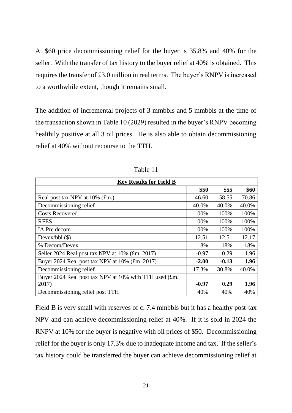At \$60 price decommissioning relief for the buyer is 35.8% and 40% for the seller. With the transfer of tax history to the buyer relief at 40% is obtained. This requires the transfer of £3.0 million in real terms. The buyer's RNPV is increased to a worthwhile extent, though it remains small.

The addition of incremental projects of 3 mmbbls and 5 mmbbls at the time of the transaction shown in Table 10 (2029) resulted in the buyer's RNPV becoming healthily positive at all 3 oil prices. He is also able to obtain decommissioning relief at 40% without recourse to the TTH.

| <b>Key Results for Field B</b>                         |         |         |       |
|--------------------------------------------------------|---------|---------|-------|
|                                                        | \$50    | \$55    | \$60  |
| Real post tax NPV at $10\%$ (£m.)                      | 46.60   | 58.55   | 70.86 |
| Decommissioning relief                                 | 40.0%   | 40.0%   | 40.0% |
| <b>Costs Recovered</b>                                 | 100%    | 100%    | 100%  |
| <b>RFES</b>                                            | 100%    | 100%    | 100%  |
| IA Pre decom                                           | 100%    | 100%    | 100%  |
| Devex/bbl $(\$)$                                       | 12.51   | 12.51   | 12.17 |
| % Decom/Devex                                          | 18%     | 18%     | 18%   |
| Seller 2024 Real post tax NPV at 10% (£m. 2017)        | $-0.97$ | 0.29    | 1.96  |
| Buyer 2024 Real post tax NPV at 10% (£m. 2017)         | $-2.00$ | $-0.13$ | 1.96  |
| Decommissioning relief                                 | 17.3%   | 30.8%   | 40.0% |
| Buyer 2024 Real post tax NPV at 10% with TTH used (£m. |         |         |       |
| 2017)                                                  | $-0.97$ | 0.29    | 1.96  |
| Decommissioning relief post TTH                        | 40%     | 40%     | 40%   |

Table 11

Field B is very small with reserves of c. 7.4 mmbbls but it has a healthy post-tax NPV and can achieve decommissioning relief at 40%. If it is sold in 2024 the RNPV at 10% for the buyer is negative with oil prices of \$50. Decommissioning relief for the buyer is only 17.3% due to inadequate income and tax. If the seller's tax history could be transferred the buyer can achieve decommissioning relief at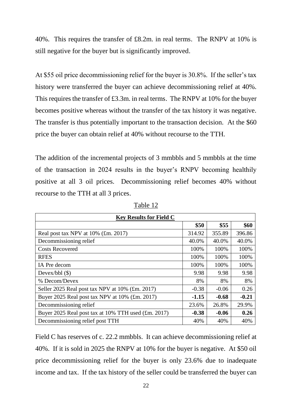40%. This requires the transfer of £8.2m. in real terms. The RNPV at 10% is still negative for the buyer but is significantly improved.

At \$55 oil price decommissioning relief for the buyer is 30.8%. If the seller's tax history were transferred the buyer can achieve decommissioning relief at 40%. This requires the transfer of £3.3m. in real terms. The RNPV at 10% for the buyer becomes positive whereas without the transfer of the tax history it was negative. The transfer is thus potentially important to the transaction decision. At the \$60 price the buyer can obtain relief at 40% without recourse to the TTH.

The addition of the incremental projects of 3 mmbbls and 5 mmbbls at the time of the transaction in 2024 results in the buyer's RNPV becoming healthily positive at all 3 oil prices. Decommissioning relief becomes 40% without recourse to the TTH at all 3 prices.

| <b>Key Results for Field C</b>                      |         |         |         |
|-----------------------------------------------------|---------|---------|---------|
|                                                     | \$50    | \$55    | \$60    |
| Real post tax NPV at $10\%$ (£m. 2017)              | 314.92  | 355.89  | 396.86  |
| Decommissioning relief                              | 40.0%   | 40.0%   | 40.0%   |
| <b>Costs Recovered</b>                              | 100%    | 100%    | 100%    |
| <b>RFES</b>                                         | 100%    | 100%    | 100%    |
| IA Pre decom                                        | 100%    | 100%    | 100%    |
| Devex/bbl $(\$)$                                    | 9.98    | 9.98    | 9.98    |
| % Decom/Devex                                       | 8%      | 8%      | 8%      |
| Seller 2025 Real post tax NPV at 10% (£m. 2017)     | $-0.38$ | $-0.06$ | 0.26    |
| Buyer 2025 Real post tax NPV at 10% (£m. 2017)      | $-1.15$ | $-0.68$ | $-0.21$ |
| Decommissioning relief                              | 23.6%   | 26.8%   | 29.9%   |
| Buyer 2025 Real post tax at 10% TTH used (£m. 2017) | $-0.38$ | $-0.06$ | 0.26    |
| Decommissioning relief post TTH                     | 40%     | 40%     | 40%     |

Table 12

Field C has reserves of c. 22.2 mmbbls. It can achieve decommissioning relief at 40%. If it is sold in 2025 the RNPV at 10% for the buyer is negative. At \$50 oil price decommissioning relief for the buyer is only 23.6% due to inadequate income and tax. If the tax history of the seller could be transferred the buyer can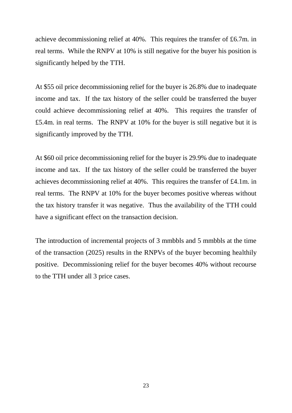achieve decommissioning relief at 40%. This requires the transfer of £6.7m. in real terms. While the RNPV at 10% is still negative for the buyer his position is significantly helped by the TTH.

At \$55 oil price decommissioning relief for the buyer is 26.8% due to inadequate income and tax. If the tax history of the seller could be transferred the buyer could achieve decommissioning relief at 40%. This requires the transfer of £5.4m. in real terms. The RNPV at 10% for the buyer is still negative but it is significantly improved by the TTH.

At \$60 oil price decommissioning relief for the buyer is 29.9% due to inadequate income and tax. If the tax history of the seller could be transferred the buyer achieves decommissioning relief at 40%. This requires the transfer of £4.1m. in real terms. The RNPV at 10% for the buyer becomes positive whereas without the tax history transfer it was negative. Thus the availability of the TTH could have a significant effect on the transaction decision.

The introduction of incremental projects of 3 mmbbls and 5 mmbbls at the time of the transaction (2025) results in the RNPVs of the buyer becoming healthily positive. Decommissioning relief for the buyer becomes 40% without recourse to the TTH under all 3 price cases.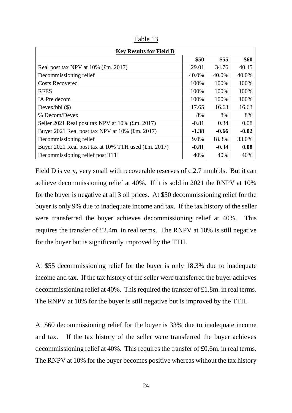| <b>Key Results for Field D</b>                      |         |         |         |
|-----------------------------------------------------|---------|---------|---------|
|                                                     | \$50    | \$55    | \$60    |
| Real post tax NPV at $10\%$ (£m. 2017)              | 29.01   | 34.76   | 40.45   |
| Decommissioning relief                              | 40.0%   | 40.0%   | 40.0%   |
| <b>Costs Recovered</b>                              | 100%    | 100%    | 100%    |
| <b>RFES</b>                                         | 100%    | 100%    | 100%    |
| IA Pre decom                                        | 100%    | 100%    | 100%    |
| Devex/bbl $(\$)$                                    | 17.65   | 16.63   | 16.63   |
| % Decom/Devex                                       | 8%      | 8%      | 8%      |
| Seller 2021 Real post tax NPV at 10% (£m. 2017)     | $-0.81$ | 0.34    | 0.08    |
| Buyer 2021 Real post tax NPV at 10% (£m. 2017)      | $-1.38$ | $-0.66$ | $-0.02$ |
| Decommissioning relief                              | 9.0%    | 18.3%   | 33.0%   |
| Buyer 2021 Real post tax at 10% TTH used (£m. 2017) | $-0.81$ | $-0.34$ | 0.08    |
| Decommissioning relief post TTH                     | 40%     | 40%     | 40%     |

Table 13

Field D is very, very small with recoverable reserves of c.2.7 mmbbls. But it can achieve decommissioning relief at 40%. If it is sold in 2021 the RNPV at 10% for the buyer is negative at all 3 oil prices. At \$50 decommissioning relief for the buyer is only 9% due to inadequate income and tax. If the tax history of the seller were transferred the buyer achieves decommissioning relief at 40%. This requires the transfer of £2.4m. in real terms. The RNPV at 10% is still negative for the buyer but is significantly improved by the TTH.

At \$55 decommissioning relief for the buyer is only 18.3% due to inadequate income and tax. If the tax history of the seller were transferred the buyer achieves decommissioning relief at 40%. This required the transfer of £1.8m. in real terms. The RNPV at 10% for the buyer is still negative but is improved by the TTH.

At \$60 decommissioning relief for the buyer is 33% due to inadequate income and tax. If the tax history of the seller were transferred the buyer achieves decommissioning relief at 40%. This requires the transfer of £0.6m. in real terms. The RNPV at 10% for the buyer becomes positive whereas without the tax history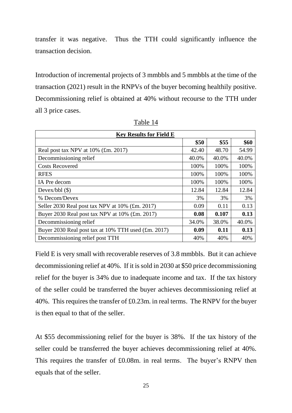transfer it was negative. Thus the TTH could significantly influence the transaction decision.

Introduction of incremental projects of 3 mmbbls and 5 mmbbls at the time of the transaction (2021) result in the RNPVs of the buyer becoming healthily positive. Decommissioning relief is obtained at 40% without recourse to the TTH under all 3 price cases.

| <b>Key Results for Field E</b>                      |       |       |       |
|-----------------------------------------------------|-------|-------|-------|
|                                                     | \$50  | \$55  | \$60  |
| Real post tax NPV at $10\%$ (£m. 2017)              | 42.40 | 48.70 | 54.99 |
| Decommissioning relief                              | 40.0% | 40.0% | 40.0% |
| <b>Costs Recovered</b>                              | 100%  | 100%  | 100%  |
| <b>RFES</b>                                         | 100%  | 100%  | 100%  |
| IA Pre decom                                        | 100%  | 100%  | 100%  |
| Devex/bbl $(\$)$                                    | 12.84 | 12.84 | 12.84 |
| % Decom/Devex                                       | 3%    | 3%    | 3%    |
| Seller 2030 Real post tax NPV at 10% (£m. 2017)     | 0.09  | 0.11  | 0.13  |
| Buyer 2030 Real post tax NPV at 10% (£m. 2017)      | 0.08  | 0.107 | 0.13  |
| Decommissioning relief                              | 34.0% | 38.0% | 40.0% |
| Buyer 2030 Real post tax at 10% TTH used (£m. 2017) | 0.09  | 0.11  | 0.13  |
| Decommissioning relief post TTH                     | 40%   | 40%   | 40%   |

Table 14

Field E is very small with recoverable reserves of 3.8 mmbbls. But it can achieve decommissioning relief at 40%. If it is sold in 2030 at \$50 price decommissioning relief for the buyer is 34% due to inadequate income and tax. If the tax history of the seller could be transferred the buyer achieves decommissioning relief at 40%. This requires the transfer of £0.23m. in real terms. The RNPV for the buyer is then equal to that of the seller.

At \$55 decommissioning relief for the buyer is 38%. If the tax history of the seller could be transferred the buyer achieves decommissioning relief at 40%. This requires the transfer of £0.08m. in real terms. The buyer's RNPV then equals that of the seller.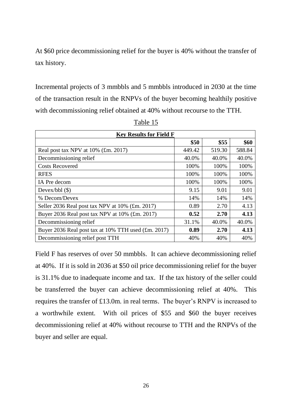At \$60 price decommissioning relief for the buyer is 40% without the transfer of tax history.

Incremental projects of 3 mmbbls and 5 mmbbls introduced in 2030 at the time of the transaction result in the RNPVs of the buyer becoming healthily positive with decommissioning relief obtained at 40% without recourse to the TTH.

| <b>Key Results for Field F</b>                      |        |        |        |
|-----------------------------------------------------|--------|--------|--------|
|                                                     | \$50   | \$55   | \$60   |
| Real post tax NPV at $10\%$ (£m. 2017)              | 449.42 | 519.30 | 588.84 |
| Decommissioning relief                              | 40.0%  | 40.0%  | 40.0%  |
| <b>Costs Recovered</b>                              | 100%   | 100%   | 100%   |
| <b>RFES</b>                                         | 100%   | 100%   | 100%   |
| IA Pre decom                                        | 100%   | 100%   | 100%   |
| Devex/bbl $(\$)$                                    | 9.15   | 9.01   | 9.01   |
| % Decom/Devex                                       | 14%    | 14%    | 14%    |
| Seller 2036 Real post tax NPV at 10% (£m. 2017)     | 0.89   | 2.70   | 4.13   |
| Buyer 2036 Real post tax NPV at 10% (£m. 2017)      | 0.52   | 2.70   | 4.13   |
| Decommissioning relief                              | 31.1%  | 40.0%  | 40.0%  |
| Buyer 2036 Real post tax at 10% TTH used (£m. 2017) | 0.89   | 2.70   | 4.13   |
| Decommissioning relief post TTH                     | 40%    | 40%    | 40%    |

Table 15

Field F has reserves of over 50 mmbbls. It can achieve decommissioning relief at 40%. If it is sold in 2036 at \$50 oil price decommissioning relief for the buyer is 31.1% due to inadequate income and tax. If the tax history of the seller could be transferred the buyer can achieve decommissioning relief at 40%. This requires the transfer of £13.0m. in real terms. The buyer's RNPV is increased to a worthwhile extent. With oil prices of \$55 and \$60 the buyer receives decommissioning relief at 40% without recourse to TTH and the RNPVs of the buyer and seller are equal.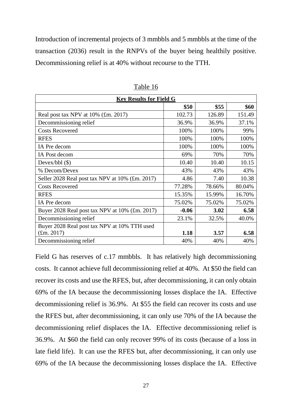Introduction of incremental projects of 3 mmbbls and 5 mmbbls at the time of the transaction (2036) result in the RNPVs of the buyer being healthily positive. Decommissioning relief is at 40% without recourse to the TTH.

| <b>Key Results for Field G</b>                  |         |        |        |  |
|-------------------------------------------------|---------|--------|--------|--|
|                                                 | \$50    | \$55   | \$60   |  |
| Real post tax NPV at 10% (£m. 2017)             | 102.73  | 126.89 | 151.49 |  |
| Decommissioning relief                          | 36.9%   | 36.9%  | 37.1%  |  |
| <b>Costs Recovered</b>                          | 100%    | 100%   | 99%    |  |
| <b>RFES</b>                                     | 100%    | 100%   | 100%   |  |
| IA Pre decom                                    | 100%    | 100%   | 100%   |  |
| IA Post decom                                   | 69%     | 70%    | 70%    |  |
| Devex/bbl $(\$)$                                | 10.40   | 10.40  | 10.15  |  |
| % Decom/Devex                                   | 43%     | 43%    | 43%    |  |
| Seller 2028 Real post tax NPV at 10% (£m. 2017) | 4.86    | 7.40   | 10.38  |  |
| <b>Costs Recovered</b>                          | 77.28%  | 78.66% | 80.04% |  |
| <b>RFES</b>                                     | 15.35%  | 15.99% | 16.70% |  |
| IA Pre decom                                    | 75.02%  | 75.02% | 75.02% |  |
| Buyer 2028 Real post tax NPV at 10% (£m. 2017)  | $-0.06$ | 3.02   | 6.58   |  |
| Decommissioning relief                          | 23.1%   | 32.5%  | 40.0%  |  |
| Buyer 2028 Real post tax NPV at 10% TTH used    |         |        |        |  |
| $(\text{fm. } 2017)$                            | 1.18    | 3.57   | 6.58   |  |
| Decommissioning relief                          | 40%     | 40%    | 40%    |  |

Table 16

Field G has reserves of c.17 mmbbls. It has relatively high decommissioning costs. It cannot achieve full decommissioning relief at 40%. At \$50 the field can recover its costs and use the RFES, but, after decommissioning, it can only obtain 69% of the IA because the decommissioning losses displace the IA. Effective decommissioning relief is 36.9%. At \$55 the field can recover its costs and use the RFES but, after decommissioning, it can only use 70% of the IA because the decommissioning relief displaces the IA. Effective decommissioning relief is 36.9%. At \$60 the field can only recover 99% of its costs (because of a loss in late field life). It can use the RFES but, after decommissioning, it can only use 69% of the IA because the decommissioning losses displace the IA. Effective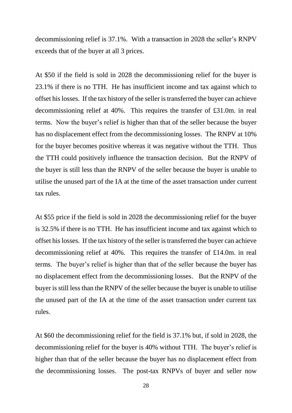decommissioning relief is 37.1%. With a transaction in 2028 the seller's RNPV exceeds that of the buyer at all 3 prices.

At \$50 if the field is sold in 2028 the decommissioning relief for the buyer is 23.1% if there is no TTH. He has insufficient income and tax against which to offset his losses. If the tax history of the seller is transferred the buyer can achieve decommissioning relief at 40%. This requires the transfer of £31.0m. in real terms. Now the buyer's relief is higher than that of the seller because the buyer has no displacement effect from the decommissioning losses. The RNPV at 10% for the buyer becomes positive whereas it was negative without the TTH. Thus the TTH could positively influence the transaction decision. But the RNPV of the buyer is still less than the RNPV of the seller because the buyer is unable to utilise the unused part of the IA at the time of the asset transaction under current tax rules.

At \$55 price if the field is sold in 2028 the decommissioning relief for the buyer is 32.5% if there is no TTH. He has insufficient income and tax against which to offset his losses. If the tax history of the seller is transferred the buyer can achieve decommissioning relief at 40%. This requires the transfer of £14.0m. in real terms. The buyer's relief is higher than that of the seller because the buyer has no displacement effect from the decommissioning losses. But the RNPV of the buyer is still less than the RNPV of the seller because the buyer is unable to utilise the unused part of the IA at the time of the asset transaction under current tax rules.

At \$60 the decommissioning relief for the field is 37.1% but, if sold in 2028, the decommissioning relief for the buyer is 40% without TTH. The buyer's relief is higher than that of the seller because the buyer has no displacement effect from the decommissioning losses. The post-tax RNPVs of buyer and seller now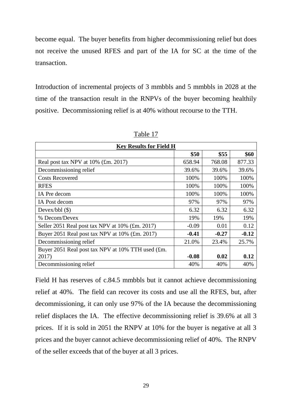become equal. The buyer benefits from higher decommissioning relief but does not receive the unused RFES and part of the IA for SC at the time of the transaction.

Introduction of incremental projects of 3 mmbbls and 5 mmbbls in 2028 at the time of the transaction result in the RNPVs of the buyer becoming healthily positive. Decommissioning relief is at 40% without recourse to the TTH.

| <b>Key Results for Field H</b>                    |         |         |         |
|---------------------------------------------------|---------|---------|---------|
|                                                   | \$50    | \$55    | \$60    |
| Real post tax NPV at 10% (£m. 2017)               | 658.94  | 768.08  | 877.33  |
| Decommissioning relief                            | 39.6%   | 39.6%   | 39.6%   |
| <b>Costs Recovered</b>                            | 100%    | 100%    | 100%    |
| <b>RFES</b>                                       | 100%    | 100%    | 100%    |
| IA Pre decom                                      | 100%    | 100%    | 100%    |
| IA Post decom                                     | 97%     | 97%     | 97%     |
| Devex/bbl $(\$)$                                  | 6.32    | 6.32    | 6.32    |
| % Decom/Devex                                     | 19%     | 19%     | 19%     |
| Seller 2051 Real post tax NPV at 10% (£m. 2017)   | $-0.09$ | 0.01    | 0.12    |
| Buyer 2051 Real post tax NPV at 10% (£m. 2017)    | $-0.41$ | $-0.27$ | $-0.12$ |
| Decommissioning relief                            | 21.0%   | 23.4%   | 25.7%   |
| Buyer 2051 Real post tax NPV at 10% TTH used (£m. |         |         |         |
| 2017)                                             | $-0.08$ | 0.02    | 0.12    |
| Decommissioning relief                            | 40%     | 40%     | 40%     |

Table 17

Field H has reserves of c.84.5 mmbbls but it cannot achieve decommissioning relief at 40%. The field can recover its costs and use all the RFES, but, after decommissioning, it can only use 97% of the IA because the decommissioning relief displaces the IA. The effective decommissioning relief is 39.6% at all 3 prices. If it is sold in 2051 the RNPV at 10% for the buyer is negative at all 3 prices and the buyer cannot achieve decommissioning relief of 40%. The RNPV of the seller exceeds that of the buyer at all 3 prices.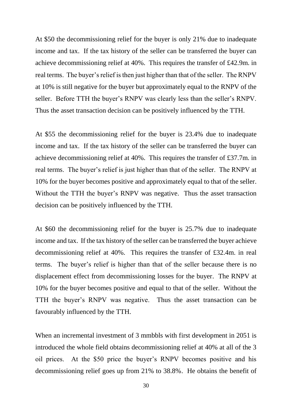At \$50 the decommissioning relief for the buyer is only 21% due to inadequate income and tax. If the tax history of the seller can be transferred the buyer can achieve decommissioning relief at 40%. This requires the transfer of £42.9m. in real terms. The buyer's relief is then just higher than that of the seller. The RNPV at 10% is still negative for the buyer but approximately equal to the RNPV of the seller. Before TTH the buyer's RNPV was clearly less than the seller's RNPV. Thus the asset transaction decision can be positively influenced by the TTH.

At \$55 the decommissioning relief for the buyer is 23.4% due to inadequate income and tax. If the tax history of the seller can be transferred the buyer can achieve decommissioning relief at 40%. This requires the transfer of £37.7m. in real terms. The buyer's relief is just higher than that of the seller. The RNPV at 10% for the buyer becomes positive and approximately equal to that of the seller. Without the TTH the buyer's RNPV was negative. Thus the asset transaction decision can be positively influenced by the TTH.

At \$60 the decommissioning relief for the buyer is 25.7% due to inadequate income and tax. If the tax history of the seller can be transferred the buyer achieve decommissioning relief at 40%. This requires the transfer of £32.4m. in real terms. The buyer's relief is higher than that of the seller because there is no displacement effect from decommissioning losses for the buyer. The RNPV at 10% for the buyer becomes positive and equal to that of the seller. Without the TTH the buyer's RNPV was negative. Thus the asset transaction can be favourably influenced by the TTH.

When an incremental investment of 3 mmbbls with first development in 2051 is introduced the whole field obtains decommissioning relief at 40% at all of the 3 oil prices. At the \$50 price the buyer's RNPV becomes positive and his decommissioning relief goes up from 21% to 38.8%. He obtains the benefit of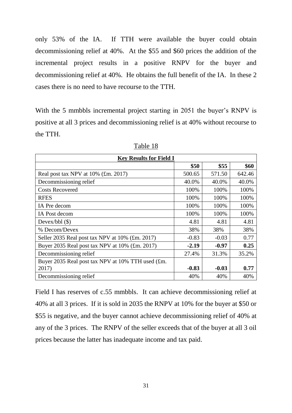only 53% of the IA. If TTH were available the buyer could obtain decommissioning relief at 40%. At the \$55 and \$60 prices the addition of the incremental project results in a positive RNPV for the buyer and decommissioning relief at 40%. He obtains the full benefit of the IA. In these 2 cases there is no need to have recourse to the TTH.

With the 5 mmbbls incremental project starting in 2051 the buyer's RNPV is positive at all 3 prices and decommissioning relief is at 40% without recourse to the TTH.

| <b>Key Results for Field I</b>                    |         |         |        |
|---------------------------------------------------|---------|---------|--------|
|                                                   | \$50    | \$55    | \$60   |
| Real post tax NPV at 10% (£m. 2017)               | 500.65  | 571.50  | 642.46 |
| Decommissioning relief                            | 40.0%   | 40.0%   | 40.0%  |
| <b>Costs Recovered</b>                            | 100%    | 100%    | 100%   |
| <b>RFES</b>                                       | 100%    | 100%    | 100%   |
| IA Pre decom                                      | 100%    | 100%    | 100%   |
| IA Post decom                                     | 100%    | 100%    | 100%   |
| Devex/bbl $(\$)$                                  | 4.81    | 4.81    | 4.81   |
| % Decom/Devex                                     | 38%     | 38%     | 38%    |
| Seller 2035 Real post tax NPV at 10% (£m. 2017)   | $-0.83$ | $-0.03$ | 0.77   |
| Buyer 2035 Real post tax NPV at 10% (£m. 2017)    | $-2.19$ | $-0.97$ | 0.25   |
| Decommissioning relief                            | 27.4%   | 31.3%   | 35.2%  |
| Buyer 2035 Real post tax NPV at 10% TTH used (£m. |         |         |        |
| 2017)                                             | $-0.83$ | $-0.03$ | 0.77   |
| Decommissioning relief                            | 40%     | 40%     | 40%    |

Table 18

Field I has reserves of c.55 mmbbls. It can achieve decommissioning relief at 40% at all 3 prices. If it is sold in 2035 the RNPV at 10% for the buyer at \$50 or \$55 is negative, and the buyer cannot achieve decommissioning relief of 40% at any of the 3 prices. The RNPV of the seller exceeds that of the buyer at all 3 oil prices because the latter has inadequate income and tax paid.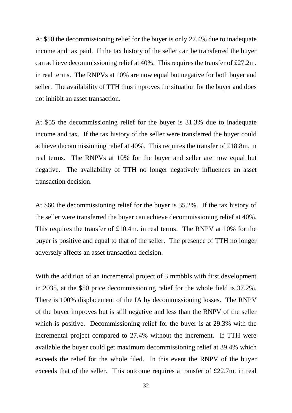At \$50 the decommissioning relief for the buyer is only 27.4% due to inadequate income and tax paid. If the tax history of the seller can be transferred the buyer can achieve decommissioning relief at 40%. This requires the transfer of £27.2m. in real terms. The RNPVs at 10% are now equal but negative for both buyer and seller. The availability of TTH thus improves the situation for the buyer and does not inhibit an asset transaction.

At \$55 the decommissioning relief for the buyer is 31.3% due to inadequate income and tax. If the tax history of the seller were transferred the buyer could achieve decommissioning relief at 40%. This requires the transfer of £18.8m. in real terms. The RNPVs at 10% for the buyer and seller are now equal but negative. The availability of TTH no longer negatively influences an asset transaction decision.

At \$60 the decommissioning relief for the buyer is 35.2%. If the tax history of the seller were transferred the buyer can achieve decommissioning relief at 40%. This requires the transfer of £10.4m. in real terms. The RNPV at 10% for the buyer is positive and equal to that of the seller. The presence of TTH no longer adversely affects an asset transaction decision.

With the addition of an incremental project of 3 mmbbls with first development in 2035, at the \$50 price decommissioning relief for the whole field is 37.2%. There is 100% displacement of the IA by decommissioning losses. The RNPV of the buyer improves but is still negative and less than the RNPV of the seller which is positive. Decommissioning relief for the buyer is at 29.3% with the incremental project compared to 27.4% without the increment. If TTH were available the buyer could get maximum decommissioning relief at 39.4% which exceeds the relief for the whole filed. In this event the RNPV of the buyer exceeds that of the seller. This outcome requires a transfer of £22.7m. in real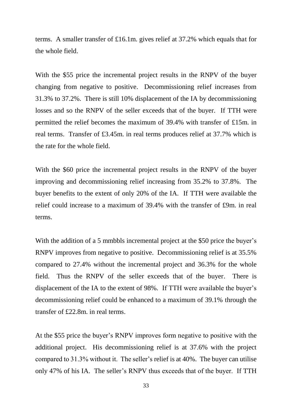terms. A smaller transfer of £16.1m. gives relief at 37.2% which equals that for the whole field.

With the \$55 price the incremental project results in the RNPV of the buyer changing from negative to positive. Decommissioning relief increases from 31.3% to 37.2%. There is still 10% displacement of the IA by decommissioning losses and so the RNPV of the seller exceeds that of the buyer. If TTH were permitted the relief becomes the maximum of 39.4% with transfer of £15m. in real terms. Transfer of £3.45m. in real terms produces relief at 37.7% which is the rate for the whole field.

With the \$60 price the incremental project results in the RNPV of the buyer improving and decommissioning relief increasing from 35.2% to 37.8%. The buyer benefits to the extent of only 20% of the IA. If TTH were available the relief could increase to a maximum of 39.4% with the transfer of £9m. in real terms.

With the addition of a 5 mmbbls incremental project at the \$50 price the buyer's RNPV improves from negative to positive. Decommissioning relief is at 35.5% compared to 27.4% without the incremental project and 36.3% for the whole field. Thus the RNPV of the seller exceeds that of the buyer. There is displacement of the IA to the extent of 98%. If TTH were available the buyer's decommissioning relief could be enhanced to a maximum of 39.1% through the transfer of £22.8m. in real terms.

At the \$55 price the buyer's RNPV improves form negative to positive with the additional project. His decommissioning relief is at 37.6% with the project compared to 31.3% without it. The seller's relief is at 40%. The buyer can utilise only 47% of his IA. The seller's RNPV thus exceeds that of the buyer. If TTH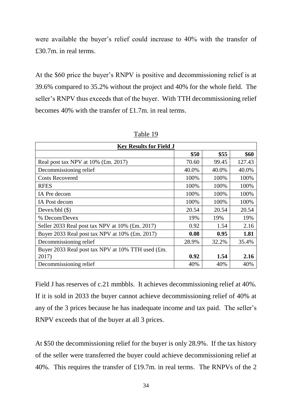were available the buyer's relief could increase to 40% with the transfer of £30.7m. in real terms.

At the \$60 price the buyer's RNPV is positive and decommissioning relief is at 39.6% compared to 35.2% without the project and 40% for the whole field. The seller's RNPV thus exceeds that of the buyer. With TTH decommissioning relief becomes 40% with the transfer of £1.7m. in real terms.

| <b>Key Results for Field J</b>                    |       |       |        |  |
|---------------------------------------------------|-------|-------|--------|--|
|                                                   | \$50  | \$55  | \$60   |  |
| Real post tax NPV at 10% (£m. 2017)               | 70.60 | 99.45 | 127.43 |  |
| Decommissioning relief                            | 40.0% | 40.0% | 40.0%  |  |
| <b>Costs Recovered</b>                            | 100%  | 100%  | 100%   |  |
| <b>RFES</b>                                       | 100%  | 100%  | 100%   |  |
| IA Pre decom                                      | 100%  | 100%  | 100%   |  |
| IA Post decom                                     | 100%  | 100%  | 100%   |  |
| Devex/bbl $(\$)$                                  | 20.54 | 20.54 | 20.54  |  |
| % Decom/Devex                                     | 19%   | 19%   | 19%    |  |
| Seller 2033 Real post tax NPV at 10% (£m. 2017)   | 0.92  | 1.54  | 2.16   |  |
| Buyer 2033 Real post tax NPV at 10% (£m. 2017)    | 0.08  | 0.95  | 1.81   |  |
| Decommissioning relief                            | 28.9% | 32.2% | 35.4%  |  |
| Buyer 2033 Real post tax NPV at 10% TTH used (£m. |       |       |        |  |
| 2017)                                             | 0.92  | 1.54  | 2.16   |  |
| Decommissioning relief                            | 40%   | 40%   | 40%    |  |

Table 19

Field J has reserves of c.21 mmbbls. It achieves decommissioning relief at 40%. If it is sold in 2033 the buyer cannot achieve decommissioning relief of 40% at any of the 3 prices because he has inadequate income and tax paid. The seller's RNPV exceeds that of the buyer at all 3 prices.

At \$50 the decommissioning relief for the buyer is only 28.9%. If the tax history of the seller were transferred the buyer could achieve decommissioning relief at 40%. This requires the transfer of £19.7m. in real terms. The RNPVs of the 2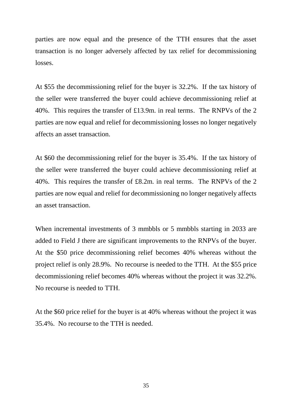parties are now equal and the presence of the TTH ensures that the asset transaction is no longer adversely affected by tax relief for decommissioning losses.

At \$55 the decommissioning relief for the buyer is 32.2%. If the tax history of the seller were transferred the buyer could achieve decommissioning relief at 40%. This requires the transfer of £13.9m. in real terms. The RNPVs of the 2 parties are now equal and relief for decommissioning losses no longer negatively affects an asset transaction.

At \$60 the decommissioning relief for the buyer is 35.4%. If the tax history of the seller were transferred the buyer could achieve decommissioning relief at 40%. This requires the transfer of £8.2m. in real terms. The RNPVs of the 2 parties are now equal and relief for decommissioning no longer negatively affects an asset transaction.

When incremental investments of 3 mmbbls or 5 mmbbls starting in 2033 are added to Field J there are significant improvements to the RNPVs of the buyer. At the \$50 price decommissioning relief becomes 40% whereas without the project relief is only 28.9%. No recourse is needed to the TTH. At the \$55 price decommissioning relief becomes 40% whereas without the project it was 32.2%. No recourse is needed to TTH.

At the \$60 price relief for the buyer is at 40% whereas without the project it was 35.4%. No recourse to the TTH is needed.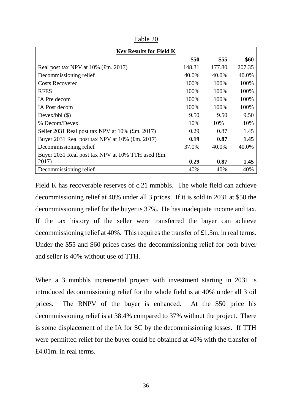| <b>Key Results for Field K</b>                    |        |        |        |
|---------------------------------------------------|--------|--------|--------|
|                                                   | \$50   | \$55   | \$60   |
| Real post tax NPV at 10% (£m. 2017)               | 148.31 | 177.80 | 207.35 |
| Decommissioning relief                            | 40.0%  | 40.0%  | 40.0%  |
| <b>Costs Recovered</b>                            | 100%   | 100%   | 100%   |
| <b>RFES</b>                                       | 100%   | 100%   | 100%   |
| IA Pre decom                                      | 100%   | 100%   | 100%   |
| IA Post decom                                     | 100%   | 100%   | 100%   |
| Devex/bbl $(\$)$                                  | 9.50   | 9.50   | 9.50   |
| % Decom/Devex                                     | 10%    | 10%    | 10%    |
| Seller 2031 Real post tax NPV at 10% (£m. 2017)   | 0.29   | 0.87   | 1.45   |
| Buyer 2031 Real post tax NPV at 10% (£m. 2017)    | 0.19   | 0.87   | 1.45   |
| Decommissioning relief                            | 37.0%  | 40.0%  | 40.0%  |
| Buyer 2031 Real post tax NPV at 10% TTH used (£m. |        |        |        |
| 2017)                                             | 0.29   | 0.87   | 1.45   |
| Decommissioning relief                            | 40%    | 40%    | 40%    |

Table 20

Field K has recoverable reserves of c.21 mmbbls. The whole field can achieve decommissioning relief at 40% under all 3 prices. If it is sold in 2031 at \$50 the decommissioning relief for the buyer is 37%. He has inadequate income and tax. If the tax history of the seller were transferred the buyer can achieve decommissioning relief at 40%. This requires the transfer of £1.3m. in real terms. Under the \$55 and \$60 prices cases the decommissioning relief for both buyer and seller is 40% without use of TTH.

When a 3 mmbbls incremental project with investment starting in 2031 is introduced decommissioning relief for the whole field is at 40% under all 3 oil prices. The RNPV of the buyer is enhanced. At the \$50 price his decommissioning relief is at 38.4% compared to 37% without the project. There is some displacement of the IA for SC by the decommissioning losses. If TTH were permitted relief for the buyer could be obtained at 40% with the transfer of £4.01m. in real terms.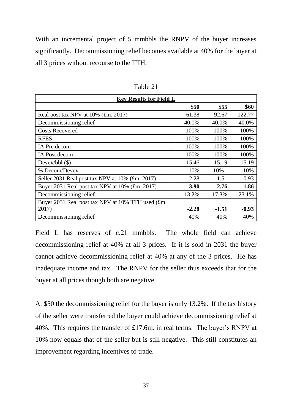With an incremental project of 5 mmbbls the RNPV of the buyer increases significantly. Decommissioning relief becomes available at 40% for the buyer at all 3 prices without recourse to the TTH.

| <b>Key Results for Field L</b>                    |         |         |         |
|---------------------------------------------------|---------|---------|---------|
|                                                   | \$50    | \$55    | \$60    |
| Real post tax NPV at 10% (£m. 2017)               | 61.38   | 92.67   | 122.77  |
| Decommissioning relief                            | 40.0%   | 40.0%   | 40.0%   |
| <b>Costs Recovered</b>                            | 100%    | 100%    | 100%    |
| <b>RFES</b>                                       | 100%    | 100%    | 100%    |
| IA Pre decom                                      | 100%    | 100%    | 100%    |
| IA Post decom                                     | 100%    | 100%    | 100%    |
| Devex/bbl $(\$)$                                  | 15.46   | 15.19   | 15.19   |
| % Decom/Devex                                     | 10%     | 10%     | 10%     |
| Seller 2031 Real post tax NPV at 10% (£m. 2017)   | $-2.28$ | $-1.51$ | $-0.93$ |
| Buyer 2031 Real post tax NPV at 10% (£m. 2017)    | $-3.90$ | $-2.76$ | $-1.86$ |
| Decommissioning relief                            | 13.2%   | 17.3%   | 23.1%   |
| Buyer 2031 Real post tax NPV at 10% TTH used (£m. |         |         |         |
| 2017)                                             | $-2.28$ | $-1.51$ | $-0.93$ |
| Decommissioning relief                            | 40%     | 40%     | 40%     |

Table 21

Field L has reserves of c.21 mmbbls. The whole field can achieve decommissioning relief at 40% at all 3 prices. If it is sold in 2031 the buyer cannot achieve decommissioning relief at 40% at any of the 3 prices. He has inadequate income and tax. The RNPV for the seller thus exceeds that for the buyer at all prices though both are negative.

At \$50 the decommissioning relief for the buyer is only 13.2%. If the tax history of the seller were transferred the buyer could achieve decommissioning relief at 40%. This requires the transfer of £17.6m. in real terms. The buyer's RNPV at 10% now equals that of the seller but is still negative. This still constitutes an improvement regarding incentives to trade.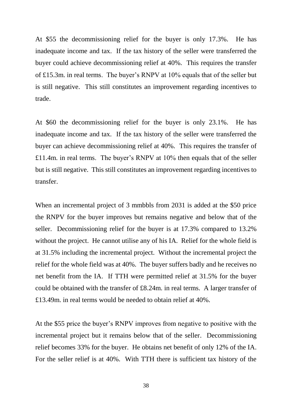At \$55 the decommissioning relief for the buyer is only 17.3%. He has inadequate income and tax. If the tax history of the seller were transferred the buyer could achieve decommissioning relief at 40%. This requires the transfer of £15.3m. in real terms. The buyer's RNPV at 10% equals that of the seller but is still negative. This still constitutes an improvement regarding incentives to trade.

At \$60 the decommissioning relief for the buyer is only 23.1%. He has inadequate income and tax. If the tax history of the seller were transferred the buyer can achieve decommissioning relief at 40%. This requires the transfer of £11.4m. in real terms. The buyer's RNPV at 10% then equals that of the seller but is still negative. This still constitutes an improvement regarding incentives to transfer.

When an incremental project of 3 mmbbls from 2031 is added at the \$50 price the RNPV for the buyer improves but remains negative and below that of the seller. Decommissioning relief for the buyer is at 17.3% compared to 13.2% without the project. He cannot utilise any of his IA. Relief for the whole field is at 31.5% including the incremental project. Without the incremental project the relief for the whole field was at 40%. The buyer suffers badly and he receives no net benefit from the IA. If TTH were permitted relief at 31.5% for the buyer could be obtained with the transfer of £8.24m. in real terms. A larger transfer of £13.49m. in real terms would be needed to obtain relief at 40%.

At the \$55 price the buyer's RNPV improves from negative to positive with the incremental project but it remains below that of the seller. Decommissioning relief becomes 33% for the buyer. He obtains net benefit of only 12% of the IA. For the seller relief is at 40%. With TTH there is sufficient tax history of the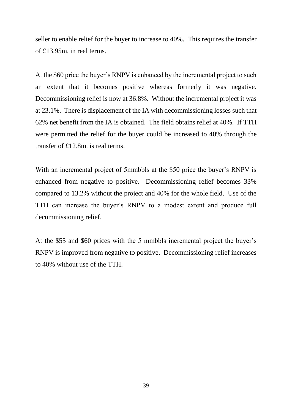seller to enable relief for the buyer to increase to 40%. This requires the transfer of £13.95m. in real terms.

At the \$60 price the buyer's RNPV is enhanced by the incremental project to such an extent that it becomes positive whereas formerly it was negative. Decommissioning relief is now at 36.8%. Without the incremental project it was at 23.1%. There is displacement of the IA with decommissioning losses such that 62% net benefit from the IA is obtained. The field obtains relief at 40%. If TTH were permitted the relief for the buyer could be increased to 40% through the transfer of £12.8m. is real terms.

With an incremental project of 5mmbbls at the \$50 price the buyer's RNPV is enhanced from negative to positive. Decommissioning relief becomes 33% compared to 13.2% without the project and 40% for the whole field. Use of the TTH can increase the buyer's RNPV to a modest extent and produce full decommissioning relief.

At the \$55 and \$60 prices with the 5 mmbbls incremental project the buyer's RNPV is improved from negative to positive. Decommissioning relief increases to 40% without use of the TTH.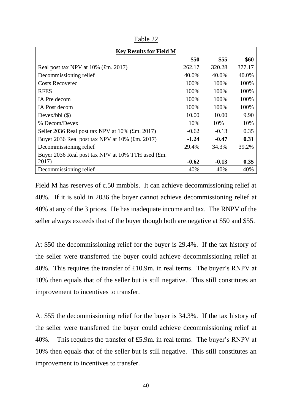| <b>Key Results for Field M</b>                    |         |         |        |
|---------------------------------------------------|---------|---------|--------|
|                                                   | \$50    | \$55    | \$60   |
| Real post tax NPV at 10% (£m. 2017)               | 262.17  | 320.28  | 377.17 |
| Decommissioning relief                            | 40.0%   | 40.0%   | 40.0%  |
| <b>Costs Recovered</b>                            | 100%    | 100%    | 100%   |
| <b>RFES</b>                                       | 100%    | 100%    | 100%   |
| IA Pre decom                                      | 100%    | 100%    | 100%   |
| IA Post decom                                     | 100%    | 100%    | 100%   |
| Devex/bbl $(\$)$                                  | 10.00   | 10.00   | 9.90   |
| % Decom/Devex                                     | 10%     | 10%     | 10%    |
| Seller 2036 Real post tax NPV at 10% (£m. 2017)   | $-0.62$ | $-0.13$ | 0.35   |
| Buyer 2036 Real post tax NPV at 10% (£m. 2017)    | $-1.24$ | $-0.47$ | 0.31   |
| Decommissioning relief                            | 29.4%   | 34.3%   | 39.2%  |
| Buyer 2036 Real post tax NPV at 10% TTH used (£m. |         |         |        |
| 2017)                                             | $-0.62$ | $-0.13$ | 0.35   |
| Decommissioning relief                            | 40%     | 40%     | 40%    |

Table 22

Field M has reserves of c.50 mmbbls. It can achieve decommissioning relief at 40%. If it is sold in 2036 the buyer cannot achieve decommissioning relief at 40% at any of the 3 prices. He has inadequate income and tax. The RNPV of the seller always exceeds that of the buyer though both are negative at \$50 and \$55.

At \$50 the decommissioning relief for the buyer is 29.4%. If the tax history of the seller were transferred the buyer could achieve decommissioning relief at 40%. This requires the transfer of £10.9m. in real terms. The buyer's RNPV at 10% then equals that of the seller but is still negative. This still constitutes an improvement to incentives to transfer.

At \$55 the decommissioning relief for the buyer is 34.3%. If the tax history of the seller were transferred the buyer could achieve decommissioning relief at 40%. This requires the transfer of £5.9m. in real terms. The buyer's RNPV at 10% then equals that of the seller but is still negative. This still constitutes an improvement to incentives to transfer.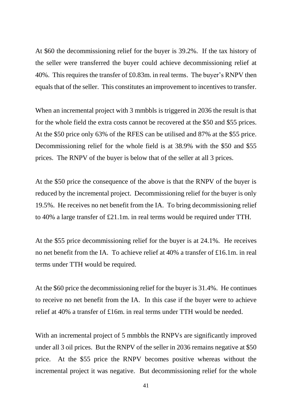At \$60 the decommissioning relief for the buyer is 39.2%. If the tax history of the seller were transferred the buyer could achieve decommissioning relief at 40%. This requires the transfer of £0.83m. in real terms. The buyer's RNPV then equals that of the seller. This constitutes an improvement to incentives to transfer.

When an incremental project with 3 mmbbls is triggered in 2036 the result is that for the whole field the extra costs cannot be recovered at the \$50 and \$55 prices. At the \$50 price only 63% of the RFES can be utilised and 87% at the \$55 price. Decommissioning relief for the whole field is at 38.9% with the \$50 and \$55 prices. The RNPV of the buyer is below that of the seller at all 3 prices.

At the \$50 price the consequence of the above is that the RNPV of the buyer is reduced by the incremental project. Decommissioning relief for the buyer is only 19.5%. He receives no net benefit from the IA. To bring decommissioning relief to 40% a large transfer of £21.1m. in real terms would be required under TTH.

At the \$55 price decommissioning relief for the buyer is at 24.1%. He receives no net benefit from the IA. To achieve relief at 40% a transfer of £16.1m. in real terms under TTH would be required.

At the \$60 price the decommissioning relief for the buyer is 31.4%. He continues to receive no net benefit from the IA. In this case if the buyer were to achieve relief at 40% a transfer of £16m. in real terms under TTH would be needed.

With an incremental project of 5 mmbbls the RNPVs are significantly improved under all 3 oil prices. But the RNPV of the seller in 2036 remains negative at \$50 price. At the \$55 price the RNPV becomes positive whereas without the incremental project it was negative. But decommissioning relief for the whole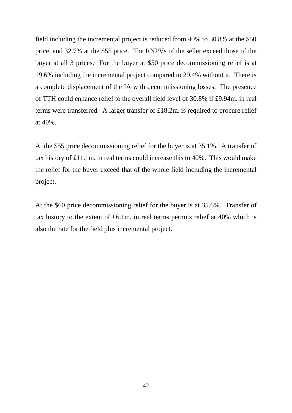field including the incremental project is reduced from 40% to 30.8% at the \$50 price, and 32.7% at the \$55 price. The RNPVs of the seller exceed those of the buyer at all 3 prices. For the buyer at \$50 price decommissioning relief is at 19.6% including the incremental project compared to 29.4% without it. There is a complete displacement of the IA with decommissioning losses. The presence of TTH could enhance relief to the overall field level of 30.8% if £9.94m. in real terms were transferred. A larger transfer of £18.2m. is required to procure relief at 40%.

At the \$55 price decommissioning relief for the buyer is at 35.1%. A transfer of tax history of £11.1m. in real terms could increase this to 40%. This would make the relief for the buyer exceed that of the whole field including the incremental project.

At the \$60 price decommissioning relief for the buyer is at 35.6%. Transfer of tax history to the extent of £6.1m. in real terms permits relief at 40% which is also the rate for the field plus incremental project.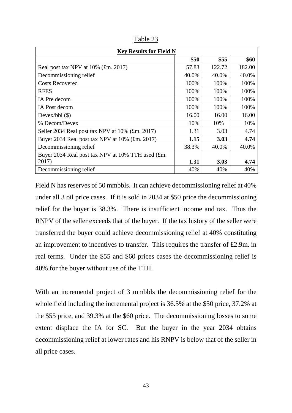| <b>Key Results for Field N</b>                    |       |        |        |
|---------------------------------------------------|-------|--------|--------|
|                                                   | \$50  | \$55   | \$60   |
| Real post tax NPV at 10% (£m. 2017)               | 57.83 | 122.72 | 182.00 |
| Decommissioning relief                            | 40.0% | 40.0%  | 40.0%  |
| <b>Costs Recovered</b>                            | 100%  | 100%   | 100%   |
| <b>RFES</b>                                       | 100%  | 100%   | 100%   |
| IA Pre decom                                      | 100%  | 100%   | 100%   |
| IA Post decom                                     | 100%  | 100%   | 100%   |
| Devex/bbl $(\$)$                                  | 16.00 | 16.00  | 16.00  |
| % Decom/Devex                                     | 10%   | 10%    | 10%    |
| Seller 2034 Real post tax NPV at 10% (£m. 2017)   | 1.31  | 3.03   | 4.74   |
| Buyer 2034 Real post tax NPV at 10% (£m. 2017)    | 1.15  | 3.03   | 4.74   |
| Decommissioning relief                            | 38.3% | 40.0%  | 40.0%  |
| Buyer 2034 Real post tax NPV at 10% TTH used (£m. |       |        |        |
| 2017)                                             | 1.31  | 3.03   | 4.74   |
| Decommissioning relief                            | 40%   | 40%    | 40%    |

Table 23

Field N has reserves of 50 mmbbls. It can achieve decommissioning relief at 40% under all 3 oil price cases. If it is sold in 2034 at \$50 price the decommissioning relief for the buyer is 38.3%. There is insufficient income and tax. Thus the RNPV of the seller exceeds that of the buyer. If the tax history of the seller were transferred the buyer could achieve decommissioning relief at 40% constituting an improvement to incentives to transfer. This requires the transfer of £2.9m. in real terms. Under the \$55 and \$60 prices cases the decommissioning relief is 40% for the buyer without use of the TTH.

With an incremental project of 3 mmbbls the decommissioning relief for the whole field including the incremental project is 36.5% at the \$50 price, 37.2% at the \$55 price, and 39.3% at the \$60 price. The decommissioning losses to some extent displace the IA for SC. But the buyer in the year 2034 obtains decommissioning relief at lower rates and his RNPV is below that of the seller in all price cases.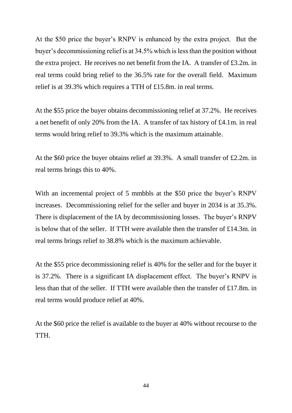At the \$50 price the buyer's RNPV is enhanced by the extra project. But the buyer's decommissioning relief is at 34.5% which is less than the position without the extra project. He receives no net benefit from the IA. A transfer of £3.2m. in real terms could bring relief to the 36.5% rate for the overall field. Maximum relief is at 39.3% which requires a TTH of £15.8m. in real terms.

At the \$55 price the buyer obtains decommissioning relief at 37.2%. He receives a net benefit of only 20% from the IA. A transfer of tax history of £4.1m. in real terms would bring relief to 39.3% which is the maximum attainable.

At the \$60 price the buyer obtains relief at 39.3%. A small transfer of £2.2m. in real terms brings this to 40%.

With an incremental project of 5 mmbbls at the \$50 price the buyer's RNPV increases. Decommissioning relief for the seller and buyer in 2034 is at 35.3%. There is displacement of the IA by decommissioning losses. The buyer's RNPV is below that of the seller. If TTH were available then the transfer of £14.3m. in real terms brings relief to 38.8% which is the maximum achievable.

At the \$55 price decommissioning relief is 40% for the seller and for the buyer it is 37.2%. There is a significant IA displacement effect. The buyer's RNPV is less than that of the seller. If TTH were available then the transfer of £17.8m. in real terms would produce relief at 40%.

At the \$60 price the relief is available to the buyer at 40% without recourse to the TTH.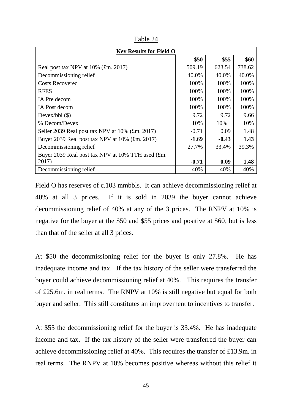| <b>Key Results for Field O</b>                    |         |         |        |
|---------------------------------------------------|---------|---------|--------|
|                                                   | \$50    | \$55    | \$60   |
| Real post tax NPV at 10% (£m. 2017)               | 509.19  | 623.54  | 738.62 |
| Decommissioning relief                            | 40.0%   | 40.0%   | 40.0%  |
| <b>Costs Recovered</b>                            | 100%    | 100%    | 100%   |
| <b>RFES</b>                                       | 100%    | 100%    | 100%   |
| IA Pre decom                                      | 100%    | 100%    | 100%   |
| IA Post decom                                     | 100%    | 100%    | 100%   |
| Devex/bbl $(\$)$                                  | 9.72    | 9.72    | 9.66   |
| % Decom/Devex                                     | 10%     | 10%     | 10%    |
| Seller 2039 Real post tax NPV at 10% (£m. 2017)   | $-0.71$ | 0.09    | 1.48   |
| Buyer 2039 Real post tax NPV at 10% (£m. 2017)    | $-1.69$ | $-0.43$ | 1.43   |
| Decommissioning relief                            | 27.7%   | 33.4%   | 39.3%  |
| Buyer 2039 Real post tax NPV at 10% TTH used (£m. |         |         |        |
| 2017)                                             | $-0.71$ | 0.09    | 1.48   |
| Decommissioning relief                            | 40%     | 40%     | 40%    |

Table 24

Field O has reserves of c.103 mmbbls. It can achieve decommissioning relief at 40% at all 3 prices. If it is sold in 2039 the buyer cannot achieve decommissioning relief of 40% at any of the 3 prices. The RNPV at 10% is negative for the buyer at the \$50 and \$55 prices and positive at \$60, but is less than that of the seller at all 3 prices.

At \$50 the decommissioning relief for the buyer is only 27.8%. He has inadequate income and tax. If the tax history of the seller were transferred the buyer could achieve decommissioning relief at 40%. This requires the transfer of £25.6m. in real terms. The RNPV at 10% is still negative but equal for both buyer and seller. This still constitutes an improvement to incentives to transfer.

At \$55 the decommissioning relief for the buyer is 33.4%. He has inadequate income and tax. If the tax history of the seller were transferred the buyer can achieve decommissioning relief at 40%. This requires the transfer of £13.9m. in real terms. The RNPV at 10% becomes positive whereas without this relief it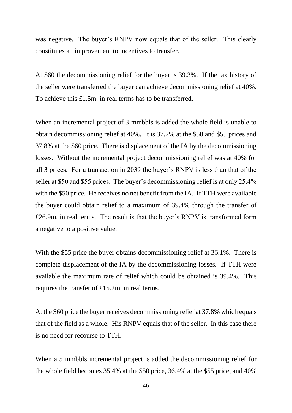was negative. The buyer's RNPV now equals that of the seller. This clearly constitutes an improvement to incentives to transfer.

At \$60 the decommissioning relief for the buyer is 39.3%. If the tax history of the seller were transferred the buyer can achieve decommissioning relief at 40%. To achieve this £1.5m. in real terms has to be transferred.

When an incremental project of 3 mmbbls is added the whole field is unable to obtain decommissioning relief at 40%. It is 37.2% at the \$50 and \$55 prices and 37.8% at the \$60 price. There is displacement of the IA by the decommissioning losses. Without the incremental project decommissioning relief was at 40% for all 3 prices. For a transaction in 2039 the buyer's RNPV is less than that of the seller at \$50 and \$55 prices. The buyer's decommissioning relief is at only 25.4% with the \$50 price. He receives no net benefit from the IA. If TTH were available the buyer could obtain relief to a maximum of 39.4% through the transfer of £26.9m. in real terms. The result is that the buyer's RNPV is transformed form a negative to a positive value.

With the \$55 price the buyer obtains decommissioning relief at 36.1%. There is complete displacement of the IA by the decommissioning losses. If TTH were available the maximum rate of relief which could be obtained is 39.4%. This requires the transfer of £15.2m. in real terms.

At the \$60 price the buyer receives decommissioning relief at 37.8% which equals that of the field as a whole. His RNPV equals that of the seller. In this case there is no need for recourse to TTH.

When a 5 mmbbls incremental project is added the decommissioning relief for the whole field becomes 35.4% at the \$50 price, 36.4% at the \$55 price, and 40%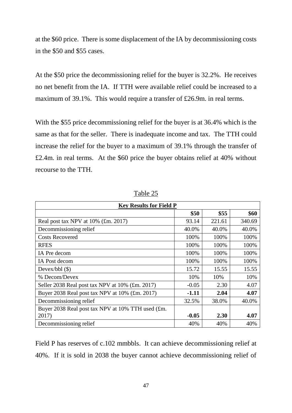at the \$60 price. There is some displacement of the IA by decommissioning costs in the \$50 and \$55 cases.

At the \$50 price the decommissioning relief for the buyer is 32.2%. He receives no net benefit from the IA. If TTH were available relief could be increased to a maximum of 39.1%. This would require a transfer of £26.9m. in real terms.

With the \$55 price decommissioning relief for the buyer is at 36.4% which is the same as that for the seller. There is inadequate income and tax. The TTH could increase the relief for the buyer to a maximum of 39.1% through the transfer of £2.4m. in real terms. At the \$60 price the buyer obtains relief at 40% without recourse to the TTH.

| <b>Key Results for Field P</b>                    |         |        |        |  |
|---------------------------------------------------|---------|--------|--------|--|
|                                                   | \$50    | \$55   | \$60   |  |
| Real post tax NPV at 10% (£m. 2017)               | 93.14   | 221.61 | 340.69 |  |
| Decommissioning relief                            | 40.0%   | 40.0%  | 40.0%  |  |
| <b>Costs Recovered</b>                            | 100%    | 100%   | 100%   |  |
| <b>RFES</b>                                       | 100%    | 100%   | 100%   |  |
| IA Pre decom                                      | 100%    | 100%   | 100%   |  |
| IA Post decom                                     | 100%    | 100%   | 100%   |  |
| Devex/bbl $(\$)$                                  | 15.72   | 15.55  | 15.55  |  |
| % Decom/Devex                                     | 10%     | 10%    | 10%    |  |
| Seller 2038 Real post tax NPV at 10% (£m. 2017)   | $-0.05$ | 2.30   | 4.07   |  |
| Buyer 2038 Real post tax NPV at 10% (£m. 2017)    | $-1.11$ | 2.04   | 4.07   |  |
| Decommissioning relief                            | 32.5%   | 38.0%  | 40.0%  |  |
| Buyer 2038 Real post tax NPV at 10% TTH used (£m. |         |        |        |  |
| 2017)                                             | $-0.05$ | 2.30   | 4.07   |  |
| Decommissioning relief                            | 40%     | 40%    | 40%    |  |

Table 25

Field P has reserves of c.102 mmbbls. It can achieve decommissioning relief at 40%. If it is sold in 2038 the buyer cannot achieve decommissioning relief of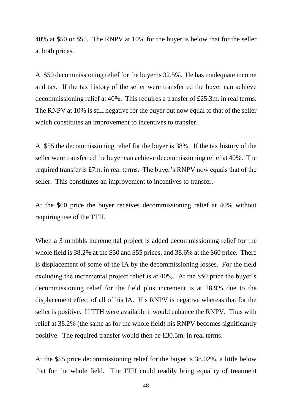40% at \$50 or \$55. The RNPV at 10% for the buyer is below that for the seller at both prices.

At \$50 decommissioning relief for the buyer is 32.5%. He has inadequate income and tax. If the tax history of the seller were transferred the buyer can achieve decommissioning relief at 40%. This requires a transfer of £25.3m. in real terms. The RNPV at 10% is still negative for the buyer but now equal to that of the seller which constitutes an improvement to incentives to transfer.

At \$55 the decommissioning relief for the buyer is 38%. If the tax history of the seller were transferred the buyer can achieve decommissioning relief at 40%. The required transfer is £7m. in real terms. The buyer's RNPV now equals that of the seller. This constitutes an improvement to incentives to transfer.

At the \$60 price the buyer receives decommissioning relief at 40% without requiring use of the TTH.

When a 3 mmbbls incremental project is added decommissioning relief for the whole field is 38.2% at the \$50 and \$55 prices, and 38.6% at the \$60 price. There is displacement of some of the IA by the decommissioning losses. For the field excluding the incremental project relief is at 40%. At the \$50 price the buyer's decommissioning relief for the field plus increment is at 28.9% due to the displacement effect of all of his IA. His RNPV is negative whereas that for the seller is positive. If TTH were available it would enhance the RNPV. Thus with relief at 38.2% (the same as for the whole field) his RNPV becomes significantly positive. The required transfer would then be £30.5m. in real terms.

At the \$55 price decommissioning relief for the buyer is 38.02%, a little below that for the whole field. The TTH could readily bring equality of treatment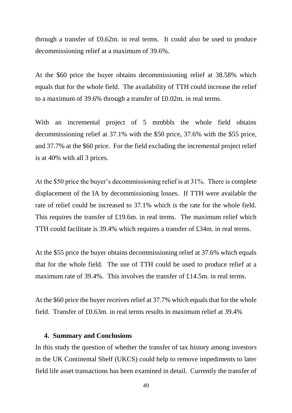through a transfer of £0.62m. in real terms. It could also be used to produce decommissioning relief at a maximum of 39.6%.

At the \$60 price the buyer obtains decommissioning relief at 38.58% which equals that for the whole field. The availability of TTH could increase the relief to a maximum of 39.6% through a transfer of £0.02m. in real terms.

With an incremental project of 5 mmbbls the whole field obtains decommissioning relief at 37.1% with the \$50 price, 37.6% with the \$55 price, and 37.7% at the \$60 price. For the field excluding the incremental project relief is at 40% with all 3 prices.

At the \$50 price the buyer's decommissioning relief is at 31%. There is complete displacement of the IA by decommissioning losses. If TTH were available the rate of relief could be increased to 37.1% which is the rate for the whole field. This requires the transfer of £19.6m. in real terms. The maximum relief which TTH could facilitate is 39.4% which requires a transfer of £34m. in real terms.

At the \$55 price the buyer obtains decommissioning relief at 37.6% which equals that for the whole field. The use of TTH could be used to produce relief at a maximum rate of 39.4%. This involves the transfer of £14.5m, in real terms.

At the \$60 price the buyer receives relief at 37.7% which equals that for the whole field. Transfer of £0.63m. in real terms results in maximum relief at 39.4%

#### **4. Summary and Conclusions**

In this study the question of whether the transfer of tax history among investors in the UK Continental Shelf (UKCS) could help to remove impediments to later field life asset transactions has been examined in detail. Currently the transfer of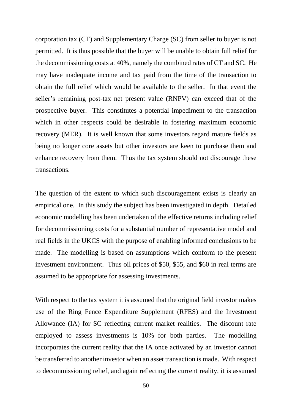corporation tax (CT) and Supplementary Charge (SC) from seller to buyer is not permitted. It is thus possible that the buyer will be unable to obtain full relief for the decommissioning costs at 40%, namely the combined rates of CT and SC. He may have inadequate income and tax paid from the time of the transaction to obtain the full relief which would be available to the seller. In that event the seller's remaining post-tax net present value (RNPV) can exceed that of the prospective buyer. This constitutes a potential impediment to the transaction which in other respects could be desirable in fostering maximum economic recovery (MER). It is well known that some investors regard mature fields as being no longer core assets but other investors are keen to purchase them and enhance recovery from them. Thus the tax system should not discourage these transactions.

The question of the extent to which such discouragement exists is clearly an empirical one. In this study the subject has been investigated in depth. Detailed economic modelling has been undertaken of the effective returns including relief for decommissioning costs for a substantial number of representative model and real fields in the UKCS with the purpose of enabling informed conclusions to be made. The modelling is based on assumptions which conform to the present investment environment. Thus oil prices of \$50, \$55, and \$60 in real terms are assumed to be appropriate for assessing investments.

With respect to the tax system it is assumed that the original field investor makes use of the Ring Fence Expenditure Supplement (RFES) and the Investment Allowance (IA) for SC reflecting current market realities. The discount rate employed to assess investments is 10% for both parties. The modelling incorporates the current reality that the IA once activated by an investor cannot be transferred to another investor when an asset transaction is made. With respect to decommissioning relief, and again reflecting the current reality, it is assumed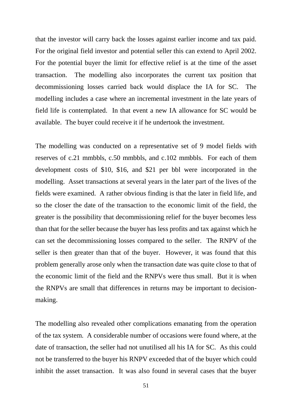that the investor will carry back the losses against earlier income and tax paid. For the original field investor and potential seller this can extend to April 2002. For the potential buyer the limit for effective relief is at the time of the asset transaction. The modelling also incorporates the current tax position that decommissioning losses carried back would displace the IA for SC. The modelling includes a case where an incremental investment in the late years of field life is contemplated. In that event a new IA allowance for SC would be available. The buyer could receive it if he undertook the investment.

The modelling was conducted on a representative set of 9 model fields with reserves of c.21 mmbbls, c.50 mmbbls, and c.102 mmbbls. For each of them development costs of \$10, \$16, and \$21 per bbl were incorporated in the modelling. Asset transactions at several years in the later part of the lives of the fields were examined. A rather obvious finding is that the later in field life, and so the closer the date of the transaction to the economic limit of the field, the greater is the possibility that decommissioning relief for the buyer becomes less than that for the seller because the buyer has less profits and tax against which he can set the decommissioning losses compared to the seller. The RNPV of the seller is then greater than that of the buyer. However, it was found that this problem generally arose only when the transaction date was quite close to that of the economic limit of the field and the RNPVs were thus small. But it is when the RNPVs are small that differences in returns may be important to decisionmaking.

The modelling also revealed other complications emanating from the operation of the tax system. A considerable number of occasions were found where, at the date of transaction, the seller had not unutilised all his IA for SC. As this could not be transferred to the buyer his RNPV exceeded that of the buyer which could inhibit the asset transaction. It was also found in several cases that the buyer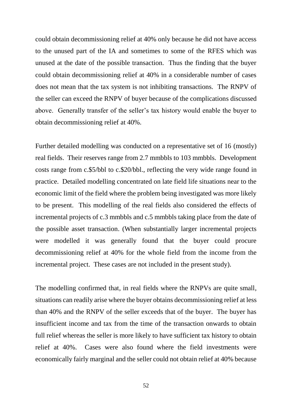could obtain decommissioning relief at 40% only because he did not have access to the unused part of the IA and sometimes to some of the RFES which was unused at the date of the possible transaction. Thus the finding that the buyer could obtain decommissioning relief at 40% in a considerable number of cases does not mean that the tax system is not inhibiting transactions. The RNPV of the seller can exceed the RNPV of buyer because of the complications discussed above. Generally transfer of the seller's tax history would enable the buyer to obtain decommissioning relief at 40%.

Further detailed modelling was conducted on a representative set of 16 (mostly) real fields. Their reserves range from 2.7 mmbbls to 103 mmbbls. Development costs range from c.\$5/bbl to c.\$20/bbl., reflecting the very wide range found in practice. Detailed modelling concentrated on late field life situations near to the economic limit of the field where the problem being investigated was more likely to be present. This modelling of the real fields also considered the effects of incremental projects of c.3 mmbbls and c.5 mmbbls taking place from the date of the possible asset transaction. (When substantially larger incremental projects were modelled it was generally found that the buyer could procure decommissioning relief at 40% for the whole field from the income from the incremental project. These cases are not included in the present study).

The modelling confirmed that, in real fields where the RNPVs are quite small, situations can readily arise where the buyer obtains decommissioning relief at less than 40% and the RNPV of the seller exceeds that of the buyer. The buyer has insufficient income and tax from the time of the transaction onwards to obtain full relief whereas the seller is more likely to have sufficient tax history to obtain relief at 40%. Cases were also found where the field investments were economically fairly marginal and the seller could not obtain relief at 40% because